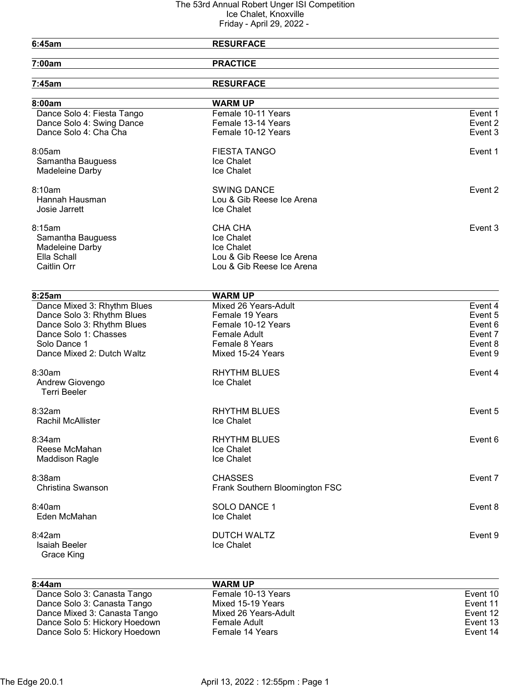| 6:45am                             | <b>RESURFACE</b>               |         |
|------------------------------------|--------------------------------|---------|
| 7:00am                             | <b>PRACTICE</b>                |         |
| 7:45am                             | <b>RESURFACE</b>               |         |
| 8:00am                             | <b>WARM UP</b>                 |         |
| Dance Solo 4: Fiesta Tango         | Female 10-11 Years             | Event 1 |
| Dance Solo 4: Swing Dance          | Female 13-14 Years             | Event 2 |
| Dance Solo 4: Cha Cha              | Female 10-12 Years             | Event 3 |
| 8:05am                             | <b>FIESTA TANGO</b>            | Event 1 |
| Samantha Bauguess                  | Ice Chalet                     |         |
| Madeleine Darby                    | Ice Chalet                     |         |
| 8:10am                             | <b>SWING DANCE</b>             | Event 2 |
| Hannah Hausman                     | Lou & Gib Reese Ice Arena      |         |
| Josie Jarrett                      | Ice Chalet                     |         |
| 8:15am                             | CHA CHA                        | Event 3 |
| Samantha Bauguess                  | Ice Chalet                     |         |
| Madeleine Darby                    | <b>Ice Chalet</b>              |         |
| Ella Schall                        | Lou & Gib Reese Ice Arena      |         |
| Caitlin Orr                        | Lou & Gib Reese Ice Arena      |         |
| 8:25am                             | <b>WARM UP</b>                 |         |
| Dance Mixed 3: Rhythm Blues        | Mixed 26 Years-Adult           | Event 4 |
| Dance Solo 3: Rhythm Blues         | Female 19 Years                | Event 5 |
| Dance Solo 3: Rhythm Blues         | Female 10-12 Years             | Event 6 |
| Dance Solo 1: Chasses              | Female Adult                   | Event 7 |
| Solo Dance 1                       | Female 8 Years                 | Event 8 |
| Dance Mixed 2: Dutch Waltz         | Mixed 15-24 Years              | Event 9 |
| 8:30am                             | <b>RHYTHM BLUES</b>            | Event 4 |
| Andrew Giovengo                    | Ice Chalet                     |         |
| <b>Terri Beeler</b>                |                                |         |
| 8:32am                             | <b>RHYTHM BLUES</b>            | Event 5 |
| Rachil McAllister                  | Ice Chalet                     |         |
| 8:34am                             | <b>RHYTHM BLUES</b>            | Event 6 |
| Reese McMahan                      | Ice Chalet                     |         |
| <b>Maddison Ragle</b>              | Ice Chalet                     |         |
| 8:38am                             | <b>CHASSES</b>                 | Event 7 |
| Christina Swanson                  | Frank Southern Bloomington FSC |         |
| 8:40am                             | <b>SOLO DANCE 1</b>            | Event 8 |
| Eden McMahan                       | Ice Chalet                     |         |
| 8:42am                             | <b>DUTCH WALTZ</b>             | Event 9 |
| <b>Isaiah Beeler</b><br>Grace King | Ice Chalet                     |         |
|                                    |                                |         |
|                                    |                                |         |

| 8:44am                        | <b>WARM UP</b>       |          |
|-------------------------------|----------------------|----------|
| Dance Solo 3: Canasta Tango   | Female 10-13 Years   | Event 10 |
| Dance Solo 3: Canasta Tango   | Mixed 15-19 Years    | Event 11 |
| Dance Mixed 3: Canasta Tango  | Mixed 26 Years-Adult | Event 12 |
| Dance Solo 5: Hickory Hoedown | Female Adult         | Event 13 |
| Dance Solo 5: Hickory Hoedown | Female 14 Years      | Event 14 |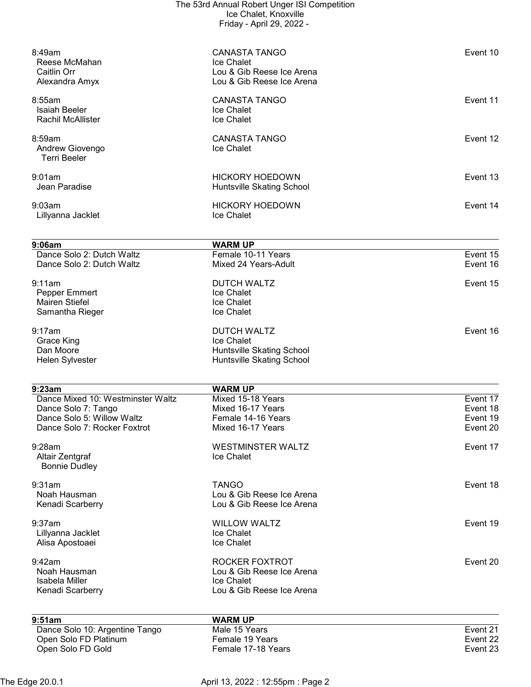| 8:49am<br>Reese McMahan<br>Caitlin Orr<br>Alexandra Amyx                               | <b>CANASTA TANGO</b><br>Ice Chalet<br>Lou & Gib Reese Ice Arena<br>Lou & Gib Reese Ice Arena      | Event 10                         |
|----------------------------------------------------------------------------------------|---------------------------------------------------------------------------------------------------|----------------------------------|
| 8:55am<br><b>Isaiah Beeler</b><br><b>Rachil McAllister</b>                             | <b>CANASTA TANGO</b><br>Ice Chalet<br>Ice Chalet                                                  | Event 11                         |
| 8:59am<br>Andrew Giovengo<br><b>Terri Beeler</b>                                       | <b>CANASTA TANGO</b><br>Ice Chalet                                                                | Event 12                         |
| 9:01am<br>Jean Paradise                                                                | <b>HICKORY HOEDOWN</b><br>Huntsville Skating School                                               | Event 13                         |
| 9:03am<br>Lillyanna Jacklet                                                            | <b>HICKORY HOEDOWN</b><br>Ice Chalet                                                              | Event 14                         |
| 9:06am                                                                                 | <b>WARM UP</b>                                                                                    |                                  |
| Dance Solo 2: Dutch Waltz<br>Dance Solo 2: Dutch Waltz                                 | Female 10-11 Years<br>Mixed 24 Years-Adult                                                        | Event 15<br>Event 16             |
| 9:11am<br>Pepper Emmert<br><b>Mairen Stiefel</b><br>Samantha Rieger                    | <b>DUTCH WALTZ</b><br>Ice Chalet<br>Ice Chalet<br>Ice Chalet                                      | Event 15                         |
| 9:17am<br>Grace King<br>Dan Moore<br>Helen Sylvester                                   | <b>DUTCH WALTZ</b><br>Ice Chalet<br><b>Huntsville Skating School</b><br>Huntsville Skating School | Event 16                         |
| 9:23am                                                                                 | <b>WARM UP</b>                                                                                    |                                  |
| Dance Mixed 10: Westminster Waltz<br>Dance Solo 7: Tango<br>Dance Solo 5: Willow Waltz | Mixed 15-18 Years<br>Mixed 16-17 Years<br>Female 14-16 Years                                      | Event 17<br>Event 18<br>Event 19 |
| Dance Solo 7: Rocker Foxtrot                                                           | Mixed 16-17 Years                                                                                 | Event 20                         |
| $9:28$ am<br>Altair Zentgraf<br><b>Bonnie Dudley</b>                                   | <b>WESTMINSTER WALTZ</b><br>Ice Chalet                                                            | Event 17                         |
| 9:31am<br>Noah Hausman<br>Kenadi Scarberry                                             | <b>TANGO</b><br>Lou & Gib Reese Ice Arena<br>Lou & Gib Reese Ice Arena                            | Event 18                         |
| 9:37am<br>Lillyanna Jacklet<br>Alisa Apostoaei                                         | <b>WILLOW WALTZ</b><br>Ice Chalet<br>Ice Chalet                                                   | Event 19                         |
| 9:42am<br>Noah Hausman<br>Isabela Miller<br>Kenadi Scarberry                           | ROCKER FOXTROT<br>Lou & Gib Reese Ice Arena<br>Ice Chalet<br>Lou & Gib Reese Ice Arena            | Event 20                         |
| 9:51am                                                                                 | <b>WARM UP</b>                                                                                    |                                  |
| Dance Solo 10: Argentine Tango<br>Open Solo FD Platinum<br>Open Solo FD Gold           | Male 15 Years<br>Female 19 Years<br>Female 17-18 Years                                            | Event 21<br>Event 22<br>Event 23 |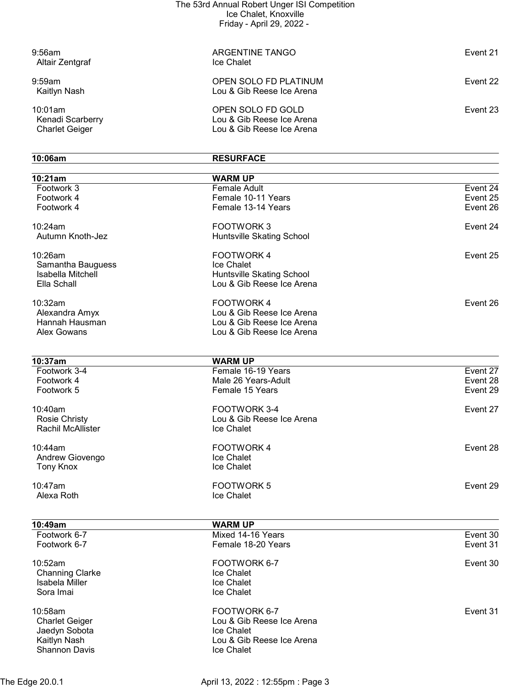| $9:56$ am<br>Altair Zentgraf                         | ARGENTINE TANGO<br>Ice Chalet                                               | Event 21 |
|------------------------------------------------------|-----------------------------------------------------------------------------|----------|
| $9:59$ am<br>Kaitlyn Nash                            | OPEN SOLO FD PLATINUM<br>Lou & Gib Reese Ice Arena                          | Event 22 |
| 10:01am<br>Kenadi Scarberry<br><b>Charlet Geiger</b> | OPEN SOLO FD GOLD<br>Lou & Gib Reese Ice Arena<br>Lou & Gib Reese Ice Arena | Event 23 |

| 10:06am                  | <b>RESURFACE</b>          |          |
|--------------------------|---------------------------|----------|
| 10:21am                  | <b>WARM UP</b>            |          |
| Footwork 3               | Female Adult              | Event 24 |
| Footwork 4               | Female 10-11 Years        | Event 25 |
| Footwork 4               | Female 13-14 Years        | Event 26 |
| 10:24am                  | <b>FOOTWORK3</b>          | Event 24 |
| Autumn Knoth-Jez         | Huntsville Skating School |          |
| 10:26am                  | FOOTWORK 4                | Event 25 |
| Samantha Bauguess        | Ice Chalet                |          |
| Isabella Mitchell        | Huntsville Skating School |          |
| Ella Schall              | Lou & Gib Reese Ice Arena |          |
| 10:32am                  | <b>FOOTWORK4</b>          | Event 26 |
| Alexandra Amyx           | Lou & Gib Reese Ice Arena |          |
| Hannah Hausman           | Lou & Gib Reese Ice Arena |          |
| Alex Gowans              | Lou & Gib Reese Ice Arena |          |
|                          |                           |          |
| 10:37am                  | <b>WARM UP</b>            |          |
| Footwork 3-4             | Female 16-19 Years        | Event 27 |
| Footwork 4               | Male 26 Years-Adult       | Event 28 |
| Footwork 5               | Female 15 Years           | Event 29 |
| 10:40am                  | FOOTWORK 3-4              | Event 27 |
| <b>Rosie Christy</b>     | Lou & Gib Reese Ice Arena |          |
| <b>Rachil McAllister</b> | Ice Chalet                |          |
| 10:44am                  | <b>FOOTWORK4</b>          | Event 28 |
| Andrew Giovengo          | Ice Chalet                |          |
| <b>Tony Knox</b>         | Ice Chalet                |          |
| 10:47am                  | <b>FOOTWORK 5</b>         | Event 29 |
| Alexa Roth               | Ice Chalet                |          |
|                          |                           |          |
| 10:49am                  | <b>WARM UP</b>            |          |
| Footwork 6-7             | Mixed 14-16 Years         | Event 30 |
| Footwork 6-7             | Female 18-20 Years        | Event 31 |
| 10:52am                  | FOOTWORK 6-7              | Event 30 |
| <b>Channing Clarke</b>   | Ice Chalet                |          |
| Isabela Miller           | Ice Chalet                |          |
| Sora Imai                | Ice Chalet                |          |
| 10:58am                  | FOOTWORK 6-7              | Event 31 |
| <b>Charlet Geiger</b>    | Lou & Gib Reese Ice Arena |          |
| Jaedyn Sobota            | Ice Chalet                |          |
| Kaitlyn Nash             | Lou & Gib Reese Ice Arena |          |
| <b>Shannon Davis</b>     | Ice Chalet                |          |

The Edge 20.0.1 **April 13, 2022 : 12:55pm : Page 3**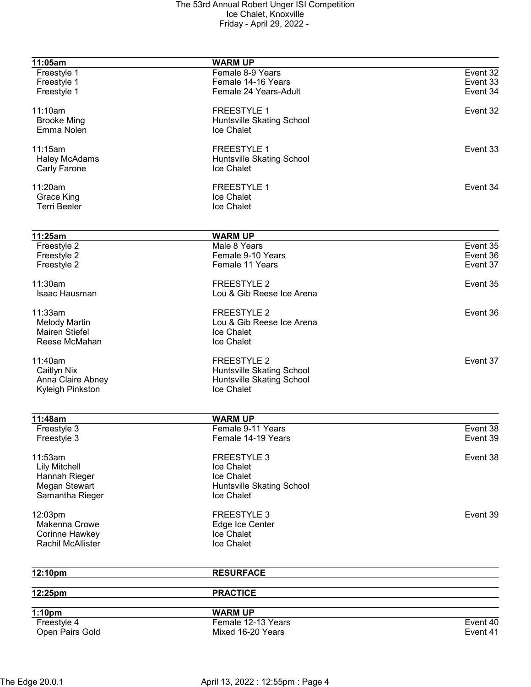| 11:05am                        | <b>WARM UP</b>                       |          |
|--------------------------------|--------------------------------------|----------|
| Freestyle 1                    | Female 8-9 Years                     | Event 32 |
| Freestyle 1                    | Female 14-16 Years                   | Event 33 |
| Freestyle 1                    | Female 24 Years-Adult                | Event 34 |
| 11:10am                        | <b>FREESTYLE 1</b>                   | Event 32 |
| <b>Brooke Ming</b>             | Huntsville Skating School            |          |
| Emma Nolen                     | Ice Chalet                           |          |
| 11:15am                        | <b>FREESTYLE 1</b>                   | Event 33 |
| <b>Haley McAdams</b>           | Huntsville Skating School            |          |
| Carly Farone                   | Ice Chalet                           |          |
|                                |                                      |          |
| 11:20am                        | <b>FREESTYLE 1</b>                   | Event 34 |
| Grace King                     | Ice Chalet                           |          |
| <b>Terri Beeler</b>            | Ice Chalet                           |          |
|                                |                                      |          |
| 11:25am<br>Freestyle 2         | <b>WARM UP</b><br>Male 8 Years       | Event 35 |
|                                | Female 9-10 Years                    | Event 36 |
| Freestyle 2                    |                                      |          |
| Freestyle 2                    | Female 11 Years                      | Event 37 |
| 11:30am                        | <b>FREESTYLE 2</b>                   | Event 35 |
| Isaac Hausman                  | Lou & Gib Reese Ice Arena            |          |
| 11:33am                        | <b>FREESTYLE 2</b>                   | Event 36 |
| <b>Melody Martin</b>           | Lou & Gib Reese Ice Arena            |          |
| <b>Mairen Stiefel</b>          | Ice Chalet                           |          |
| Reese McMahan                  | Ice Chalet                           |          |
| 11:40am                        | <b>FREESTYLE 2</b>                   | Event 37 |
| Caitlyn Nix                    | Huntsville Skating School            |          |
| Anna Claire Abney              | Huntsville Skating School            |          |
| Kyleigh Pinkston               | Ice Chalet                           |          |
|                                |                                      |          |
| 11:48am                        | <b>WARM UP</b>                       |          |
| Freestyle 3                    | Female 9-11 Years                    | Event 38 |
| Freestyle 3                    | Female 14-19 Years                   | Event 39 |
| 11:53am                        | <b>FREESTYLE 3</b>                   | Event 38 |
| <b>Lily Mitchell</b>           | Ice Chalet                           |          |
|                                | Ice Chalet                           |          |
| Hannah Rieger<br>Megan Stewart |                                      |          |
|                                | Huntsville Skating School            |          |
| Samantha Rieger                | Ice Chalet                           |          |
| 12:03pm                        | <b>FREESTYLE 3</b>                   | Event 39 |
| Makenna Crowe                  | Edge Ice Center                      |          |
| Corinne Hawkey                 | Ice Chalet                           |          |
| <b>Rachil McAllister</b>       | Ice Chalet                           |          |
| 12:10pm                        | <b>RESURFACE</b>                     |          |
| 12:25pm                        | <b>PRACTICE</b>                      |          |
|                                |                                      |          |
| 1:10pm                         | <b>WARM UP</b><br>Female 12-13 Years |          |
| Freestyle 4                    |                                      | Event 40 |
| Open Pairs Gold                | Mixed 16-20 Years                    | Event 41 |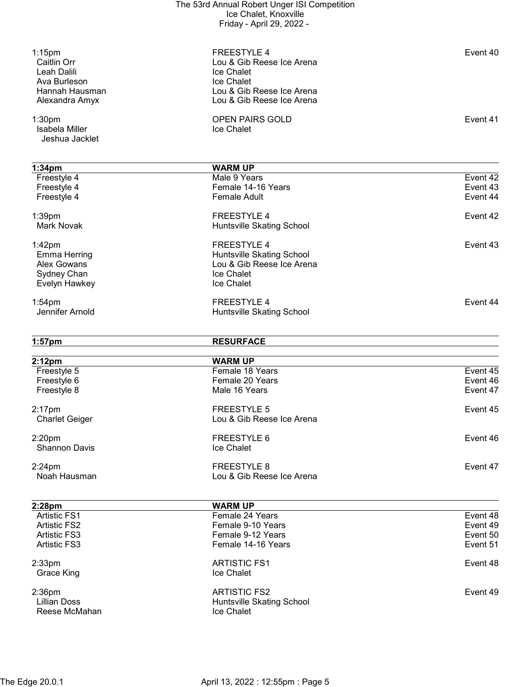| $1:15$ pm<br>Caitlin Orr                   | <b>FREESTYLE 4</b><br>Lou & Gib Reese Ice Arena | Event 40             |
|--------------------------------------------|-------------------------------------------------|----------------------|
| Leah Dalili                                | Ice Chalet                                      |                      |
| Ava Burleson                               | Ice Chalet                                      |                      |
| Hannah Hausman                             | Lou & Gib Reese Ice Arena                       |                      |
| Alexandra Amyx                             | Lou & Gib Reese Ice Arena                       |                      |
| 1:30 <sub>pm</sub>                         | <b>OPEN PAIRS GOLD</b>                          | Event 41             |
| Isabela Miller                             | Ice Chalet                                      |                      |
| Jeshua Jacklet                             |                                                 |                      |
|                                            |                                                 |                      |
| 1:34 <sub>pm</sub>                         | <b>WARM UP</b>                                  |                      |
| Freestyle 4                                | Male 9 Years                                    | Event 42             |
| Freestyle 4                                | Female 14-16 Years                              | Event 43             |
| Freestyle 4                                | <b>Female Adult</b>                             | Event 44             |
| 1:39pm                                     | <b>FREESTYLE 4</b>                              | Event 42             |
| <b>Mark Novak</b>                          | Huntsville Skating School                       |                      |
| $1:42$ pm                                  | <b>FREESTYLE 4</b>                              | Event 43             |
| <b>Emma Herring</b>                        | Huntsville Skating School                       |                      |
| Alex Gowans                                | Lou & Gib Reese Ice Arena                       |                      |
| Sydney Chan                                | Ice Chalet                                      |                      |
| Evelyn Hawkey                              | Ice Chalet                                      |                      |
| $1:54$ pm                                  | <b>FREESTYLE 4</b>                              | Event 44             |
| Jennifer Arnold                            | Huntsville Skating School                       |                      |
|                                            |                                                 |                      |
|                                            |                                                 |                      |
| $1:57$ pm                                  | <b>RESURFACE</b>                                |                      |
|                                            |                                                 |                      |
| 2:12 <sub>pm</sub>                         | <b>WARM UP</b>                                  |                      |
| Freestyle 5                                | Female 18 Years                                 | Event 45             |
| Freestyle 6                                | Female 20 Years                                 | Event 46             |
| Freestyle 8                                | Male 16 Years                                   | Event 47             |
| $2:17$ pm                                  | <b>FREESTYLE 5</b>                              | Event 45             |
| <b>Charlet Geiger</b>                      | Lou & Gib Reese Ice Arena                       |                      |
| 2:20 <sub>pm</sub>                         | FREESTYLE 6                                     | Event 46             |
| <b>Shannon Davis</b>                       | Ice Chalet                                      |                      |
|                                            |                                                 |                      |
| $2:24$ pm                                  | <b>FREESTYLE 8</b>                              | Event 47             |
| Noah Hausman                               | Lou & Gib Reese Ice Arena                       |                      |
|                                            |                                                 |                      |
| 2:28pm                                     | <b>WARM UP</b>                                  |                      |
| <b>Artistic FS1</b><br><b>Artistic FS2</b> | Female 24 Years<br>Female 9-10 Years            | Event 48<br>Event 49 |
| <b>Artistic FS3</b>                        | Female 9-12 Years                               | Event 50             |
| <b>Artistic FS3</b>                        | Female 14-16 Years                              | Event 51             |
|                                            |                                                 |                      |
| $2:33$ pm<br>Grace King                    | <b>ARTISTIC FS1</b><br>Ice Chalet               | Event 48             |
|                                            |                                                 |                      |
| $2:36$ pm                                  | <b>ARTISTIC FS2</b>                             | Event 49             |
| <b>Lillian Doss</b><br>Reese McMahan       | Huntsville Skating School<br>Ice Chalet         |                      |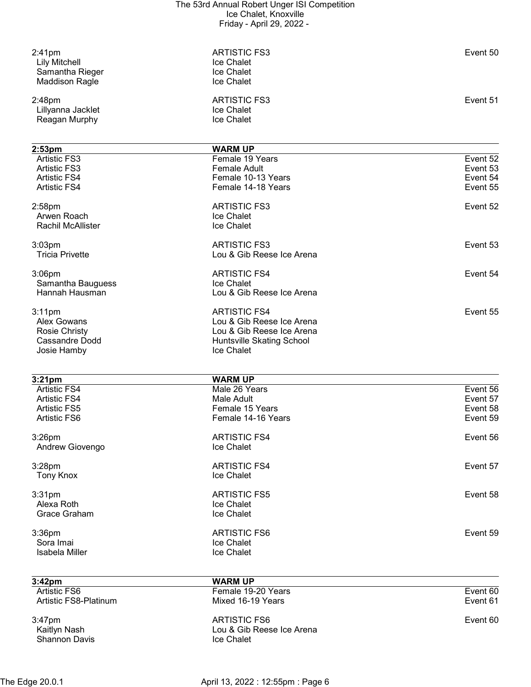| $2:41$ pm<br><b>Lily Mitchell</b><br>Samantha Rieger<br><b>Maddison Ragle</b> | <b>ARTISTIC FS3</b><br>Ice Chalet<br><b>Ice Chalet</b><br>Ice Chalet | Event 50             |  |
|-------------------------------------------------------------------------------|----------------------------------------------------------------------|----------------------|--|
| 2:48pm<br>Lillyanna Jacklet<br>Reagan Murphy                                  | <b>ARTISTIC FS3</b><br>Ice Chalet<br>Ice Chalet                      | Event 51             |  |
| 2:53 <sub>pm</sub>                                                            | <b>WARM UP</b>                                                       |                      |  |
| <b>Artistic FS3</b>                                                           | Female 19 Years                                                      | Event 52             |  |
| <b>Artistic FS3</b>                                                           | Female Adult                                                         | Event 53             |  |
| <b>Artistic FS4</b>                                                           | Female 10-13 Years                                                   | Event 54             |  |
| <b>Artistic FS4</b>                                                           | Female 14-18 Years                                                   | Event 55             |  |
| 2:58pm                                                                        | <b>ARTISTIC FS3</b>                                                  | Event 52             |  |
| Arwen Roach                                                                   | Ice Chalet                                                           |                      |  |
| <b>Rachil McAllister</b>                                                      | Ice Chalet                                                           |                      |  |
| $3:03$ pm                                                                     | <b>ARTISTIC FS3</b>                                                  | Event 53             |  |
| <b>Tricia Privette</b>                                                        | Lou & Gib Reese Ice Arena                                            |                      |  |
|                                                                               |                                                                      |                      |  |
| $3:06$ pm                                                                     | <b>ARTISTIC FS4</b>                                                  | Event 54             |  |
| Samantha Bauguess                                                             | Ice Chalet                                                           |                      |  |
| Hannah Hausman                                                                | Lou & Gib Reese Ice Arena                                            |                      |  |
| $3:11$ pm                                                                     | <b>ARTISTIC FS4</b>                                                  | Event 55             |  |
| <b>Alex Gowans</b>                                                            | Lou & Gib Reese Ice Arena                                            |                      |  |
| <b>Rosie Christy</b>                                                          | Lou & Gib Reese Ice Arena                                            |                      |  |
| Cassandre Dodd                                                                | Huntsville Skating School                                            |                      |  |
| Josie Hamby                                                                   | Ice Chalet                                                           |                      |  |
|                                                                               |                                                                      |                      |  |
| 3:21 <sub>pm</sub>                                                            | <b>WARM UP</b>                                                       |                      |  |
| <b>Artistic FS4</b><br><b>Artistic FS4</b>                                    | Male 26 Years<br>Male Adult                                          | Event 56<br>Event 57 |  |
| <b>Artistic FS5</b>                                                           | Female 15 Years                                                      | Event 58             |  |
| Artistic FS6                                                                  | Female 14-16 Years                                                   | Event 59             |  |
|                                                                               |                                                                      |                      |  |
| $3:26$ pm                                                                     | <b>ARTISTIC FS4</b>                                                  | Event 56             |  |
| Andrew Giovengo                                                               | Ice Chalet                                                           |                      |  |
| 3:28pm                                                                        | <b>ARTISTIC FS4</b>                                                  | Event 57             |  |
| <b>Tony Knox</b>                                                              | Ice Chalet                                                           |                      |  |
| 3:31pm                                                                        | <b>ARTISTIC FS5</b>                                                  | Event 58             |  |
| Alexa Roth                                                                    | Ice Chalet                                                           |                      |  |
| Grace Graham                                                                  | Ice Chalet                                                           |                      |  |
|                                                                               |                                                                      |                      |  |
| 3:36pm                                                                        | <b>ARTISTIC FS6</b>                                                  | Event 59             |  |
| Sora Imai<br><b>Isabela Miller</b>                                            | Ice Chalet<br>Ice Chalet                                             |                      |  |
|                                                                               |                                                                      |                      |  |
| 3:42pm                                                                        | <b>WARM UP</b>                                                       |                      |  |
| <b>Artistic FS6</b>                                                           | Female 19-20 Years                                                   | Event 60             |  |
| Artistic FS8-Platinum                                                         | Mixed 16-19 Years                                                    | Event 61             |  |
| 3:47pm                                                                        | <b>ARTISTIC FS6</b>                                                  | Event 60             |  |
| Kaitlyn Nash                                                                  | Lou & Gib Reese Ice Arena                                            |                      |  |
| <b>Shannon Davis</b>                                                          | Ice Chalet                                                           |                      |  |
|                                                                               |                                                                      |                      |  |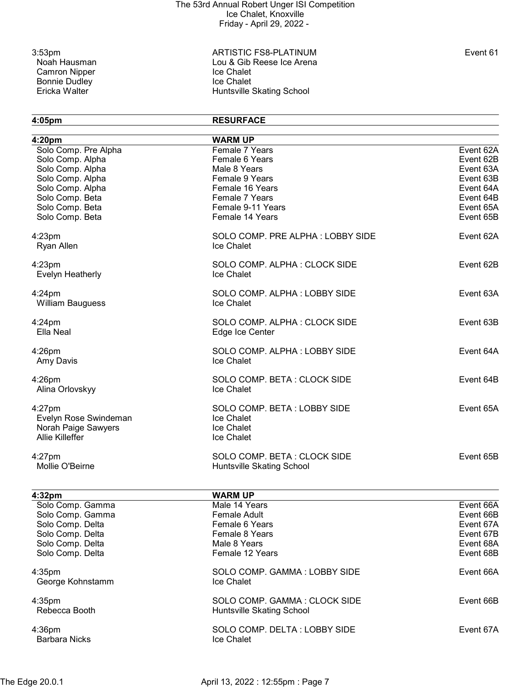Camron Nipper Ice Chalet<br>
Bonnie Dudley<br>
Ice Chalet Bonnie Dudley<br>Ericka Walter

3:53pm ARTISTIC FS8-PLATINUM Event 61 Lou & Gib Reese Ice Arena<br>Ice Chalet Huntsville Skating School

4:05pm RESURFACE

| 4:20pm                               | <b>WARM UP</b>                             |           |
|--------------------------------------|--------------------------------------------|-----------|
| Solo Comp. Pre Alpha                 | Female 7 Years                             | Event 62A |
| Solo Comp. Alpha                     | Female 6 Years                             | Event 62B |
| Solo Comp. Alpha                     | Male 8 Years                               | Event 63A |
| Solo Comp. Alpha                     | Female 9 Years                             | Event 63B |
| Solo Comp. Alpha                     | Female 16 Years                            | Event 64A |
| Solo Comp. Beta                      | Female 7 Years                             | Event 64B |
| Solo Comp. Beta                      | Female 9-11 Years                          | Event 65A |
| Solo Comp. Beta                      | Female 14 Years                            | Event 65B |
| $4:23$ pm                            | SOLO COMP. PRE ALPHA: LOBBY SIDE           | Event 62A |
| <b>Ryan Allen</b>                    | Ice Chalet                                 |           |
| $4:23$ pm<br><b>Evelyn Heatherly</b> | SOLO COMP. ALPHA: CLOCK SIDE<br>Ice Chalet | Event 62B |
| $4:24$ pm                            | SOLO COMP. ALPHA: LOBBY SIDE               | Event 63A |
| <b>William Bauguess</b>              | Ice Chalet                                 |           |
| $4:24$ pm                            | SOLO COMP. ALPHA: CLOCK SIDE               | Event 63B |
| Ella Neal                            | Edge Ice Center                            |           |
| $4:26$ pm<br>Amy Davis               | SOLO COMP. ALPHA: LOBBY SIDE<br>Ice Chalet | Event 64A |
|                                      |                                            |           |
| $4:26$ pm<br>Alina Orlovskyy         | SOLO COMP. BETA: CLOCK SIDE<br>Ice Chalet  | Event 64B |
| $4:27$ pm                            | SOLO COMP. BETA: LOBBY SIDE                | Event 65A |
| Evelyn Rose Swindeman                | Ice Chalet                                 |           |
| Norah Paige Sawyers                  | Ice Chalet                                 |           |
| <b>Allie Killeffer</b>               | Ice Chalet                                 |           |
| $4:27$ pm                            | SOLO COMP. BETA: CLOCK SIDE                | Event 65B |
| Mollie O'Beirne                      | Huntsville Skating School                  |           |
| 4:32pm                               | <b>WARM UP</b>                             |           |
| Solo Comp. Gamma                     | Male 14 Years                              | Event 66A |
| Solo Comp. Gamma                     | Female Adult                               | Event 66B |
| Solo Comp. Delta                     | Female 6 Years                             | Event 67A |
| Solo Comp. Delta                     | Female 8 Years                             | Event 67B |
| Solo Comp. Delta                     | Male 8 Years                               | Event 68A |
| Solo Comp. Delta                     | Female 12 Years                            | Event 68B |
| $4:35$ pm                            | SOLO COMP. GAMMA: LOBBY SIDE               | Event 66A |
| George Kohnstamm                     | <b>Ice Chalet</b>                          |           |
| $4:35$ pm                            | SOLO COMP. GAMMA: CLOCK SIDE               | Event 66B |
| Rebecca Booth                        | Huntsville Skating School                  |           |
| $4:36$ pm                            | SOLO COMP. DELTA: LOBBY SIDE               | Event 67A |
| <b>Barbara Nicks</b>                 | Ice Chalet                                 |           |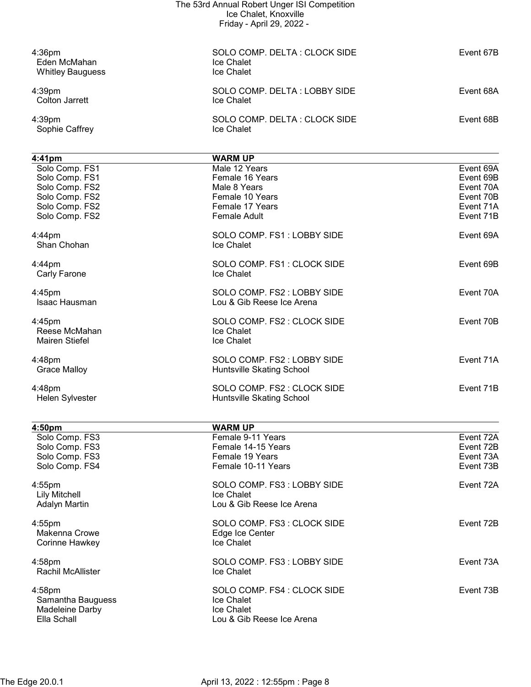|                                                                                                          | The 53rd Annual Robert Unger ISI Competition<br>Ice Chalet, Knoxville                                         |                                                                            |
|----------------------------------------------------------------------------------------------------------|---------------------------------------------------------------------------------------------------------------|----------------------------------------------------------------------------|
|                                                                                                          | Friday - April 29, 2022 -                                                                                     |                                                                            |
| $4:36$ pm<br>Eden McMahan<br><b>Whitley Bauguess</b>                                                     | SOLO COMP. DELTA: CLOCK SIDE<br>Ice Chalet<br>Ice Chalet                                                      | Event 67B                                                                  |
| 4:39pm<br><b>Colton Jarrett</b>                                                                          | SOLO COMP. DELTA: LOBBY SIDE<br>Ice Chalet                                                                    | Event 68A                                                                  |
| 4:39pm<br>Sophie Caffrey                                                                                 | SOLO COMP. DELTA: CLOCK SIDE<br>Ice Chalet                                                                    | Event 68B                                                                  |
| $4:41$ pm                                                                                                | <b>WARM UP</b>                                                                                                |                                                                            |
| Solo Comp. FS1<br>Solo Comp. FS1<br>Solo Comp. FS2<br>Solo Comp. FS2<br>Solo Comp. FS2<br>Solo Comp. FS2 | Male 12 Years<br>Female 16 Years<br>Male 8 Years<br>Female 10 Years<br>Female 17 Years<br><b>Female Adult</b> | Event 69A<br>Event 69B<br>Event 70A<br>Event 70B<br>Event 71A<br>Event 71B |
| $4:44$ pm<br>Shan Chohan                                                                                 | SOLO COMP. FS1: LOBBY SIDE<br>Ice Chalet                                                                      | Event 69A                                                                  |
| $4:44$ pm<br>Carly Farone                                                                                | SOLO COMP. FS1: CLOCK SIDE<br>Ice Chalet                                                                      | Event 69B                                                                  |
| $4:45$ pm<br>Isaac Hausman                                                                               | SOLO COMP. FS2 : LOBBY SIDE<br>Lou & Gib Reese Ice Arena                                                      | Event 70A                                                                  |
| $4:45$ pm<br>Reese McMahan<br>Mairen Stiefel                                                             | SOLO COMP. FS2 : CLOCK SIDE<br>Ice Chalet<br>Ice Chalet                                                       | Event 70B                                                                  |
| 4:48pm<br><b>Grace Malloy</b>                                                                            | SOLO COMP. FS2 : LOBBY SIDE<br>Huntsville Skating School                                                      | Event 71A                                                                  |
| 4:48pm<br><b>Helen Sylvester</b>                                                                         | SOLO COMP. FS2 : CLOCK SIDE<br>Huntsville Skating School                                                      | Event 71B                                                                  |
| 4:50pm                                                                                                   | <b>WARM UP</b>                                                                                                |                                                                            |
| Solo Comp. FS3<br>Solo Comp. FS3<br>Solo Comp. FS3<br>Solo Comp. FS4                                     | Female 9-11 Years<br>Female 14-15 Years<br>Female 19 Years<br>Female 10-11 Years                              | Event 72A<br>Event 72B<br>Event 73A<br>Event 73B                           |
| 4:55pm<br><b>Lily Mitchell</b><br><b>Adalyn Martin</b>                                                   | SOLO COMP. FS3: LOBBY SIDE<br>Ice Chalet<br>Lou & Gib Reese Ice Arena                                         | Event 72A                                                                  |
| $4:55$ pm<br>Makenna Crowe<br>Corinne Hawkey                                                             | SOLO COMP. FS3 : CLOCK SIDE<br>Edge Ice Center<br>Ice Chalet                                                  | Event 72B                                                                  |
| 4:58pm<br>Rachil McAllister                                                                              | SOLO COMP. FS3: LOBBY SIDE<br>Ice Chalet                                                                      | Event 73A                                                                  |

4:58pm SOLO COMP. FS4 : CLOCK SIDE Event 73B<br>Samantha Bauguess Samantha Bauguess Event To State Chalet Samantha Bauguess **In the Samantha Bauguess Ice Chalet** Madeleine Darby **Internal and Contact Chalet** 

Lou & Gib Reese Ice Arena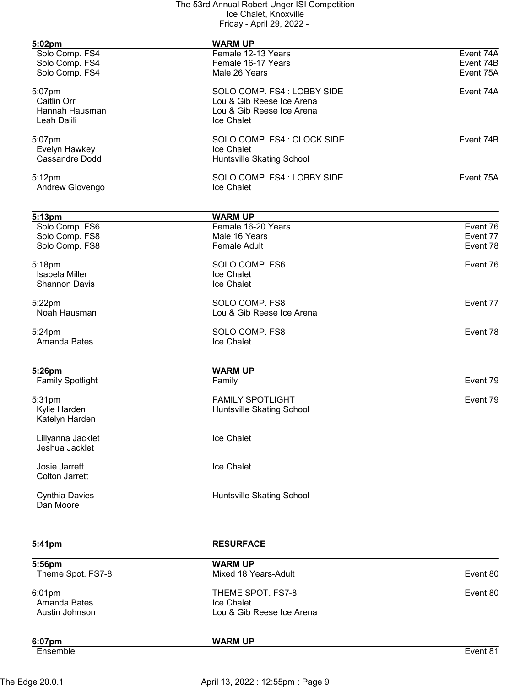| 5:02pm                            | <b>WARM UP</b>                       |           |
|-----------------------------------|--------------------------------------|-----------|
| Solo Comp. FS4                    | Female 12-13 Years                   | Event 74A |
| Solo Comp. FS4                    | Female 16-17 Years                   | Event 74B |
| Solo Comp. FS4                    | Male 26 Years                        | Event 75A |
| 5:07pm                            | SOLO COMP. FS4 : LOBBY SIDE          | Event 74A |
| Caitlin Orr                       | Lou & Gib Reese Ice Arena            |           |
| Hannah Hausman                    | Lou & Gib Reese Ice Arena            |           |
| Leah Dalili                       | Ice Chalet                           |           |
| 5:07pm                            | SOLO COMP. FS4 : CLOCK SIDE          | Event 74B |
| Evelyn Hawkey                     | Ice Chalet                           |           |
| Cassandre Dodd                    | Huntsville Skating School            |           |
| 5:12pm                            | SOLO COMP. FS4 : LOBBY SIDE          | Event 75A |
| Andrew Giovengo                   | Ice Chalet                           |           |
|                                   |                                      |           |
| 5:13pm<br>Solo Comp. FS6          | <b>WARM UP</b><br>Female 16-20 Years | Event 76  |
| Solo Comp. FS8                    | Male 16 Years                        | Event 77  |
| Solo Comp. FS8                    | <b>Female Adult</b>                  | Event 78  |
|                                   |                                      |           |
| 5:18pm                            | SOLO COMP. FS6                       | Event 76  |
| <b>Isabela Miller</b>             | Ice Chalet                           |           |
| <b>Shannon Davis</b>              | Ice Chalet                           |           |
| 5:22pm                            | SOLO COMP. FS8                       | Event 77  |
| Noah Hausman                      | Lou & Gib Reese Ice Arena            |           |
| 5:24pm                            | SOLO COMP. FS8                       | Event 78  |
| Amanda Bates                      | Ice Chalet                           |           |
|                                   |                                      |           |
| 5:26pm<br><b>Family Spotlight</b> | <b>WARM UP</b><br>Family             | Event 79  |
|                                   |                                      |           |
| 5:31pm                            | <b>FAMILY SPOTLIGHT</b>              | Event 79  |
| Kylie Harden                      | Huntsville Skating School            |           |
| Katelyn Harden                    |                                      |           |
| Lillyanna Jacklet                 | Ice Chalet                           |           |
| Jeshua Jacklet                    |                                      |           |
| Josie Jarrett                     | Ice Chalet                           |           |
| <b>Colton Jarrett</b>             |                                      |           |
| <b>Cynthia Davies</b>             | Huntsville Skating School            |           |
| Dan Moore                         |                                      |           |

| 5:41pm                                   | <b>RESURFACE</b>                                             |          |
|------------------------------------------|--------------------------------------------------------------|----------|
| 5:56pm                                   | <b>WARM UP</b>                                               |          |
| Theme Spot. FS7-8                        | Mixed 18 Years-Adult                                         | Event 80 |
| 6:01pm<br>Amanda Bates<br>Austin Johnson | THEME SPOT. FS7-8<br>Ice Chalet<br>Lou & Gib Reese Ice Arena | Event 80 |
| 6:07pm                                   | <b>WARM UP</b>                                               |          |
| Ensemble                                 |                                                              | Event 81 |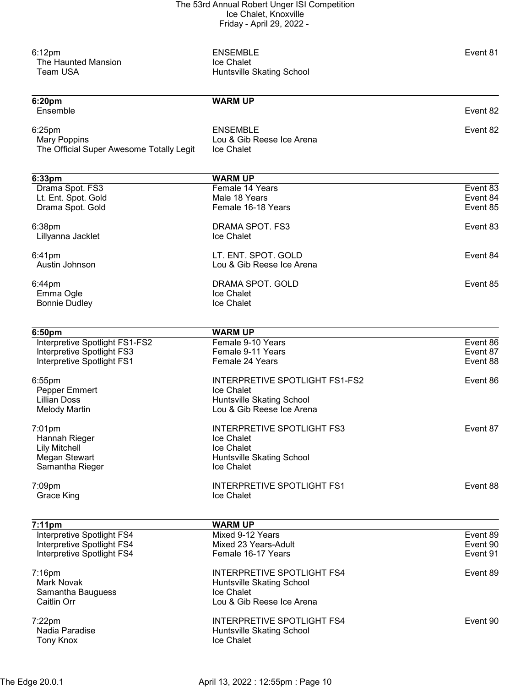| 6:12pm<br>The Haunted Mansion<br><b>Team USA</b>                          | <b>ENSEMBLE</b><br>Ice Chalet<br>Huntsville Skating School | Event 81             |
|---------------------------------------------------------------------------|------------------------------------------------------------|----------------------|
| 6:20pm                                                                    | <b>WARM UP</b>                                             |                      |
| Ensemble                                                                  |                                                            | Event 82             |
| 6:25pm<br><b>Mary Poppins</b><br>The Official Super Awesome Totally Legit | <b>ENSEMBLE</b><br>Lou & Gib Reese Ice Arena<br>Ice Chalet | Event 82             |
| 6:33pm                                                                    | <b>WARM UP</b>                                             |                      |
| Drama Spot. FS3                                                           | Female 14 Years                                            | Event 83             |
| Lt. Ent. Spot. Gold                                                       | Male 18 Years                                              | Event 84             |
| Drama Spot. Gold                                                          | Female 16-18 Years                                         | Event 85             |
| 6:38pm                                                                    | DRAMA SPOT. FS3                                            | Event 83             |
| Lillyanna Jacklet                                                         | <b>Ice Chalet</b>                                          |                      |
| 6:41pm                                                                    | LT. ENT. SPOT. GOLD                                        | Event 84             |
| Austin Johnson                                                            | Lou & Gib Reese Ice Arena                                  |                      |
|                                                                           |                                                            |                      |
| 6:44pm<br>Emma Ogle                                                       | DRAMA SPOT. GOLD<br>Ice Chalet                             | Event 85             |
| <b>Bonnie Dudley</b>                                                      | Ice Chalet                                                 |                      |
|                                                                           |                                                            |                      |
| 6:50pm                                                                    | <b>WARM UP</b>                                             |                      |
| Interpretive Spotlight FS1-FS2                                            | Female 9-10 Years                                          | Event 86             |
| Interpretive Spotlight FS3                                                | Female 9-11 Years                                          | Event 87             |
| Interpretive Spotlight FS1                                                | Female 24 Years                                            | Event 88             |
| 6:55pm                                                                    | <b>INTERPRETIVE SPOTLIGHT FS1-FS2</b>                      | Event 86             |
| Pepper Emmert                                                             | Ice Chalet                                                 |                      |
| <b>Lillian Doss</b>                                                       | <b>Huntsville Skating School</b>                           |                      |
| <b>Melody Martin</b>                                                      | Lou & Gib Reese Ice Arena                                  |                      |
| 7:01pm                                                                    | <b>INTERPRETIVE SPOTLIGHT FS3</b>                          | Event 87             |
| Hannah Rieger                                                             | Ice Chalet                                                 |                      |
| <b>Lily Mitchell</b>                                                      | Ice Chalet                                                 |                      |
| Megan Stewart                                                             | Huntsville Skating School                                  |                      |
| Samantha Rieger                                                           | Ice Chalet                                                 |                      |
| 7:09pm                                                                    | <b>INTERPRETIVE SPOTLIGHT FS1</b>                          | Event 88             |
| <b>Grace King</b>                                                         | Ice Chalet                                                 |                      |
|                                                                           |                                                            |                      |
| 7:11pm                                                                    | <b>WARM UP</b>                                             |                      |
| Interpretive Spotlight FS4                                                | Mixed 9-12 Years                                           | Event 89             |
| Interpretive Spotlight FS4<br>Interpretive Spotlight FS4                  | Mixed 23 Years-Adult<br>Female 16-17 Years                 | Event 90<br>Event 91 |
|                                                                           |                                                            |                      |
| 7:16pm                                                                    | <b>INTERPRETIVE SPOTLIGHT FS4</b>                          | Event 89             |
| <b>Mark Novak</b>                                                         | <b>Huntsville Skating School</b>                           |                      |
| Samantha Bauguess                                                         | Ice Chalet                                                 |                      |
| Caitlin Orr                                                               | Lou & Gib Reese Ice Arena                                  |                      |
| 7:22pm                                                                    | <b>INTERPRETIVE SPOTLIGHT FS4</b>                          | Event 90             |
| Nadia Paradise                                                            | Huntsville Skating School                                  |                      |
| <b>Tony Knox</b>                                                          | Ice Chalet                                                 |                      |
|                                                                           |                                                            |                      |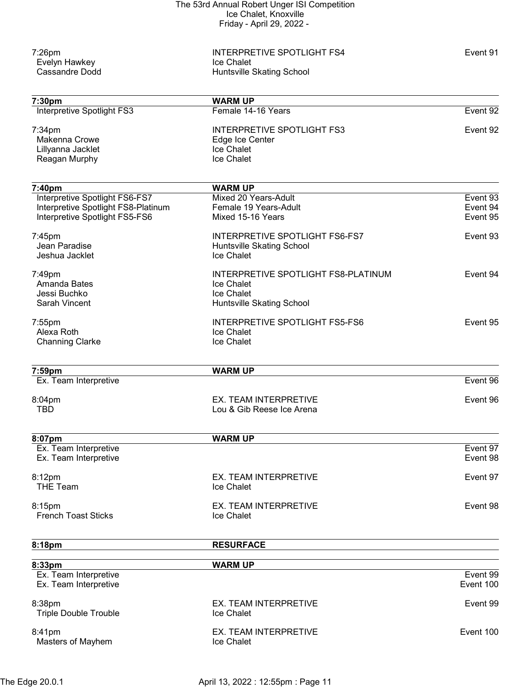|                                       | The 53rd Annual Robert Unger ISI Competition       |           |
|---------------------------------------|----------------------------------------------------|-----------|
|                                       | Ice Chalet, Knoxville<br>Friday - April 29, 2022 - |           |
|                                       |                                                    |           |
| 7:26pm                                | <b>INTERPRETIVE SPOTLIGHT FS4</b>                  | Event 91  |
| Evelyn Hawkey                         | Ice Chalet                                         |           |
| <b>Cassandre Dodd</b>                 | Huntsville Skating School                          |           |
|                                       |                                                    |           |
| 7:30pm                                | <b>WARM UP</b>                                     |           |
| Interpretive Spotlight FS3            | Female 14-16 Years                                 | Event 92  |
| 7:34pm                                | <b>INTERPRETIVE SPOTLIGHT FS3</b>                  | Event 92  |
| <b>Makenna Crowe</b>                  | Edge Ice Center                                    |           |
| Lillyanna Jacklet                     | Ice Chalet                                         |           |
| Reagan Murphy                         | <b>Ice Chalet</b>                                  |           |
| 7:40pm                                | <b>WARM UP</b>                                     |           |
| <b>Interpretive Spotlight FS6-FS7</b> | Mixed 20 Years-Adult                               | Event 93  |
| Interpretive Spotlight FS8-Platinum   | Female 19 Years-Adult                              | Event 94  |
| Interpretive Spotlight FS5-FS6        | Mixed 15-16 Years                                  | Event 95  |
| 7:45pm                                | <b>INTERPRETIVE SPOTLIGHT FS6-FS7</b>              | Event 93  |
| Jean Paradise                         | Huntsville Skating School                          |           |
| Jeshua Jacklet                        | <b>Ice Chalet</b>                                  |           |
| 7:49pm                                | INTERPRETIVE SPOTLIGHT FS8-PLATINUM                | Event 94  |
| Amanda Bates                          | Ice Chalet                                         |           |
| Jessi Buchko                          | Ice Chalet                                         |           |
| Sarah Vincent                         | Huntsville Skating School                          |           |
| 7:55pm                                | INTERPRETIVE SPOTLIGHT FS5-FS6                     | Event 95  |
| Alexa Roth                            | Ice Chalet                                         |           |
| <b>Channing Clarke</b>                | Ice Chalet                                         |           |
|                                       |                                                    |           |
| 7:59pm<br>Ex. Team Interpretive       | <b>WARM UP</b>                                     | Event 96  |
|                                       |                                                    |           |
| 8:04pm                                | EX. TEAM INTERPRETIVE                              | Event 96  |
| <b>TBD</b>                            | Lou & Gib Reese Ice Arena                          |           |
| 8:07pm                                | <b>WARM UP</b>                                     |           |
| Ex. Team Interpretive                 |                                                    | Event 97  |
| Ex. Team Interpretive                 |                                                    | Event 98  |
| 8:12pm                                | EX. TEAM INTERPRETIVE                              | Event 97  |
| <b>THE Team</b>                       | Ice Chalet                                         |           |
| 8:15pm                                | EX. TEAM INTERPRETIVE                              | Event 98  |
| <b>French Toast Sticks</b>            | Ice Chalet                                         |           |
| 8:18pm                                | <b>RESURFACE</b>                                   |           |
| 8:33pm                                | <b>WARM UP</b>                                     |           |
| Ex. Team Interpretive                 |                                                    | Event 99  |
| Ex. Team Interpretive                 |                                                    | Event 100 |
| 8:38pm                                | EX. TEAM INTERPRETIVE                              | Event 99  |
| <b>Triple Double Trouble</b>          | Ice Chalet                                         |           |

8:41pm EX. TEAM INTERPRETIVE Event 100 Masters of Mayhem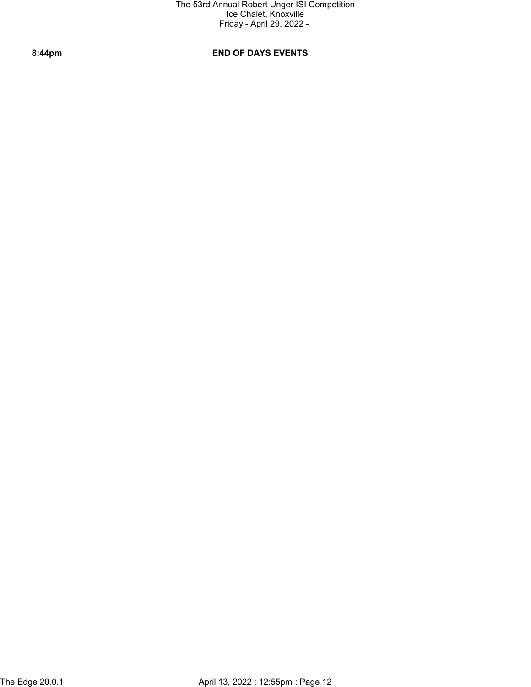# 8:44pm END OF DAYS EVENTS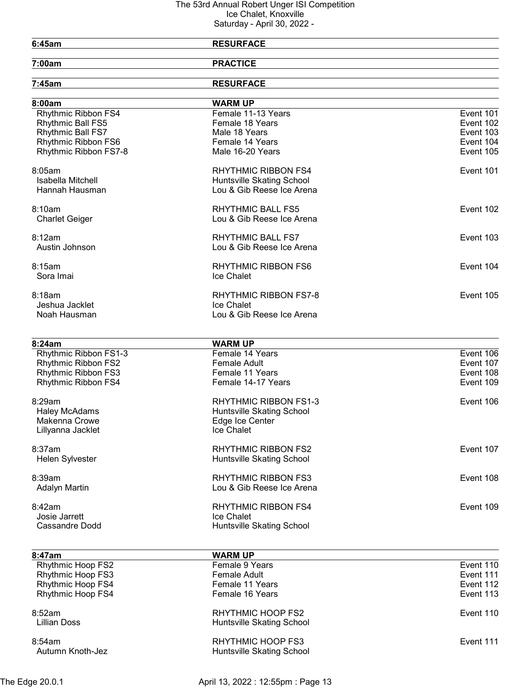## 6:45am RESURFACE

7:00am PRACTICE

| 7:45am                          | <b>RESURFACE</b>                  |           |
|---------------------------------|-----------------------------------|-----------|
| 8:00am                          | <b>WARM UP</b>                    |           |
| Rhythmic Ribbon FS4             | Female 11-13 Years                | Event 101 |
| Rhythmic Ball FS5               | Female 18 Years                   | Event 102 |
| Rhythmic Ball FS7               | Male 18 Years                     | Event 103 |
| Rhythmic Ribbon FS6             | Female 14 Years                   | Event 104 |
| Rhythmic Ribbon FS7-8           | Male 16-20 Years                  | Event 105 |
| 8:05am                          | <b>RHYTHMIC RIBBON FS4</b>        | Event 101 |
| Isabella Mitchell               | Huntsville Skating School         |           |
| Hannah Hausman                  | Lou & Gib Reese Ice Arena         |           |
| 8:10am                          | <b>RHYTHMIC BALL FS5</b>          | Event 102 |
| <b>Charlet Geiger</b>           | Lou & Gib Reese Ice Arena         |           |
| 8:12am                          | <b>RHYTHMIC BALL FS7</b>          | Event 103 |
| Austin Johnson                  | Lou & Gib Reese Ice Arena         |           |
| 8:15am                          | <b>RHYTHMIC RIBBON FS6</b>        | Event 104 |
| Sora Imai                       | Ice Chalet                        |           |
| 8:18am                          | <b>RHYTHMIC RIBBON FS7-8</b>      | Event 105 |
| Jeshua Jacklet                  | Ice Chalet                        |           |
| Noah Hausman                    | Lou & Gib Reese Ice Arena         |           |
|                                 |                                   |           |
| 8:24am<br>Rhythmic Ribbon FS1-3 | <b>WARM UP</b><br>Female 14 Years | Event 106 |
| Rhythmic Ribbon FS2             | <b>Female Adult</b>               | Event 107 |
| Rhythmic Ribbon FS3             | Female 11 Years                   | Event 108 |
| Rhythmic Ribbon FS4             | Female 14-17 Years                | Event 109 |
|                                 |                                   |           |
| 8:29am                          | RHYTHMIC RIBBON FS1-3             | Event 106 |
| <b>Haley McAdams</b>            | Huntsville Skating School         |           |
| Makenna Crowe                   | Edge Ice Center                   |           |
| Lillyanna Jacklet               | Ice Chalet                        |           |
| 8:37am                          | <b>RHYTHMIC RIBBON FS2</b>        | Event 107 |
| <b>Helen Sylvester</b>          | Huntsville Skating School         |           |
| 8:39am                          | <b>RHYTHMIC RIBBON FS3</b>        | Event 108 |
| <b>Adalyn Martin</b>            | Lou & Gib Reese Ice Arena         |           |
| 8:42am                          | <b>RHYTHMIC RIBBON FS4</b>        | Event 109 |
| Josie Jarrett                   | Ice Chalet                        |           |
| <b>Cassandre Dodd</b>           | Huntsville Skating School         |           |
| 8:47am                          | <b>WARM UP</b>                    |           |
| <b>Rhythmic Hoop FS2</b>        | Female 9 Years                    | Event 110 |

| Female 9 Years                                        | Event 110 |
|-------------------------------------------------------|-----------|
| Female Adult                                          | Event 111 |
| Female 11 Years                                       | Event 112 |
| Female 16 Years                                       | Event 113 |
| RHYTHMIC HOOP FS2<br>Huntsville Skating School        | Event 110 |
| <b>RHYTHMIC HOOP FS3</b><br>Huntsville Skating School | Event 111 |
|                                                       |           |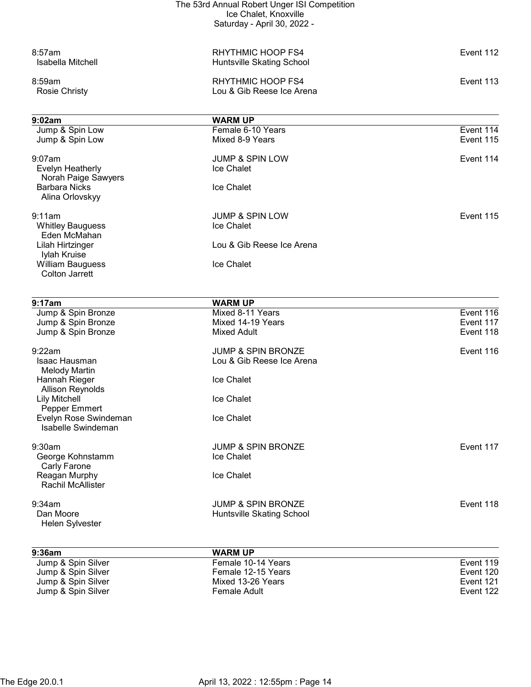|                                             | The 53rd Annual Robert Unger ISI Competition<br>Ice Chalet, Knoxville |                        |
|---------------------------------------------|-----------------------------------------------------------------------|------------------------|
|                                             | Saturday - April 30, 2022 -                                           |                        |
| 8:57am<br>Isabella Mitchell                 | RHYTHMIC HOOP FS4<br>Huntsville Skating School                        | Event 112              |
| 8:59am<br><b>Rosie Christy</b>              | RHYTHMIC HOOP FS4<br>Lou & Gib Reese Ice Arena                        | Event 113              |
| 9:02am                                      | <b>WARM UP</b>                                                        |                        |
| Jump & Spin Low                             | Female 6-10 Years                                                     | Event 114              |
| Jump & Spin Low                             | Mixed 8-9 Years                                                       | Event 115              |
| $9:07$ am                                   | <b>JUMP &amp; SPIN LOW</b>                                            | Event 114              |
| Evelyn Heatherly                            | Ice Chalet                                                            |                        |
| Norah Paige Sawyers<br><b>Barbara Nicks</b> | Ice Chalet                                                            |                        |
| Alina Orlovskyy                             |                                                                       |                        |
| 9:11am                                      | <b>JUMP &amp; SPIN LOW</b>                                            | Event 115              |
| <b>Whitley Bauguess</b>                     | Ice Chalet                                                            |                        |
| Eden McMahan                                |                                                                       |                        |
| Lilah Hirtzinger<br>Iylah Kruise            | Lou & Gib Reese Ice Arena                                             |                        |
| <b>William Bauguess</b>                     | Ice Chalet                                                            |                        |
| <b>Colton Jarrett</b>                       |                                                                       |                        |
|                                             |                                                                       |                        |
| 9:17am                                      | <b>WARM UP</b>                                                        |                        |
| Jump & Spin Bronze<br>Jump & Spin Bronze    | Mixed 8-11 Years<br>Mixed 14-19 Years                                 | Event 116<br>Event 117 |
| Jump & Spin Bronze                          | <b>Mixed Adult</b>                                                    | Event 118              |
|                                             |                                                                       |                        |
| 9:22am                                      | <b>JUMP &amp; SPIN BRONZE</b>                                         | Event 116              |
| Isaac Hausman<br><b>Melody Martin</b>       | Lou & Gib Reese Ice Arena                                             |                        |
| Hannah Rieger                               | Ice Chalet                                                            |                        |
| <b>Allison Reynolds</b>                     |                                                                       |                        |
| <b>Lily Mitchell</b><br>Pepper Emmert       | Ice Chalet                                                            |                        |
| Evelyn Rose Swindeman                       | Ice Chalet                                                            |                        |
| <b>Isabelle Swindeman</b>                   |                                                                       |                        |
| 9:30am                                      | <b>JUMP &amp; SPIN BRONZE</b>                                         | Event 117              |
| George Kohnstamm                            | Ice Chalet                                                            |                        |
| Carly Farone                                |                                                                       |                        |
| Reagan Murphy<br>Rachil McAllister          | Ice Chalet                                                            |                        |
|                                             |                                                                       |                        |
| 9:34am                                      | <b>JUMP &amp; SPIN BRONZE</b>                                         | Event 118              |
| Dan Moore<br>Helen Sylvester                | Huntsville Skating School                                             |                        |
| 9:36am                                      | <b>WARM UP</b>                                                        |                        |
| Jump & Spin Silver                          | Female 10-14 Years                                                    | Event 119              |
| Jump & Spin Silver<br>Jump & Spin Silver    | Female 12-15 Years<br>Mixed 13-26 Years                               | Event 120<br>Event 121 |
| Jump & Spin Silver                          | Female Adult                                                          | Event 122              |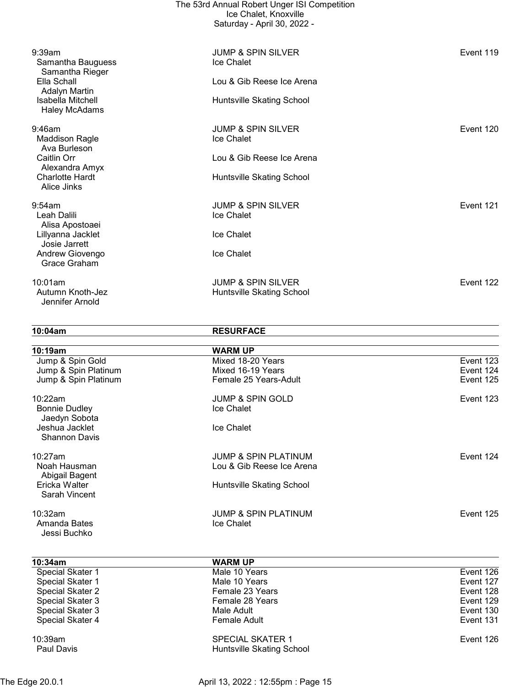|                                                 | The 53rd Annual Robert Unger ISI Competition<br>Ice Chalet, Knoxville<br>Saturday - April 30, 2022 - |           |
|-------------------------------------------------|------------------------------------------------------------------------------------------------------|-----------|
| 9:39am<br>Samantha Bauguess<br>Samantha Rieger  | <b>JUMP &amp; SPIN SILVER</b><br>Ice Chalet                                                          | Event 119 |
| Ella Schall<br>Adalyn Martin                    | Lou & Gib Reese Ice Arena                                                                            |           |
| Isabella Mitchell<br><b>Haley McAdams</b>       | Huntsville Skating School                                                                            |           |
| 9:46am<br><b>Maddison Ragle</b><br>Ava Burleson | <b>JUMP &amp; SPIN SILVER</b><br>Ice Chalet                                                          | Event 120 |
| Caitlin Orr<br>Alexandra Amyx                   | Lou & Gib Reese Ice Arena                                                                            |           |
| <b>Charlotte Hardt</b><br>Alice Jinks           | Huntsville Skating School                                                                            |           |
| 9:54am<br>Leah Dalili<br>Alisa Apostoaei        | <b>JUMP &amp; SPIN SILVER</b><br>Ice Chalet                                                          | Event 121 |
| Lillyanna Jacklet<br>Josie Jarrett              | Ice Chalet                                                                                           |           |
| Andrew Giovengo<br>Grace Graham                 | Ice Chalet                                                                                           |           |
| 10:01am<br>Autumn Knoth-Jez<br>Jennifer Arnold  | <b>JUMP &amp; SPIN SILVER</b><br>Huntsville Skating School                                           | Event 122 |

10:04am RESURFACE

| 10:19am                                          | <b>WARM UP</b>                                       |           |
|--------------------------------------------------|------------------------------------------------------|-----------|
| Jump & Spin Gold                                 | Mixed 18-20 Years                                    | Event 123 |
| Jump & Spin Platinum                             | Mixed 16-19 Years                                    | Event 124 |
| Jump & Spin Platinum                             | Female 25 Years-Adult                                | Event 125 |
| 10:22am<br><b>Bonnie Dudley</b><br>Jaedyn Sobota | <b>JUMP &amp; SPIN GOLD</b><br><b>Ice Chalet</b>     | Event 123 |
| Jeshua Jacklet<br><b>Shannon Davis</b>           | Ice Chalet                                           |           |
| 10:27am                                          | <b>JUMP &amp; SPIN PLATINUM</b>                      | Event 124 |
| Noah Hausman<br>Abigail Bagent                   | Lou & Gib Reese Ice Arena                            |           |
| Ericka Walter<br>Sarah Vincent                   | Huntsville Skating School                            |           |
| 10:32am<br>Amanda Bates<br>Jessi Buchko          | <b>JUMP &amp; SPIN PLATINUM</b><br><b>Ice Chalet</b> | Event 125 |

| 10:34am          | <b>WARM UP</b>            |           |
|------------------|---------------------------|-----------|
| Special Skater 1 | Male 10 Years             | Event 126 |
| Special Skater 1 | Male 10 Years             | Event 127 |
| Special Skater 2 | Female 23 Years           | Event 128 |
| Special Skater 3 | Female 28 Years           | Event 129 |
| Special Skater 3 | Male Adult                | Event 130 |
| Special Skater 4 | Female Adult              | Event 131 |
| 10:39am          | <b>SPECIAL SKATER 1</b>   | Event 126 |
| Paul Davis       | Huntsville Skating School |           |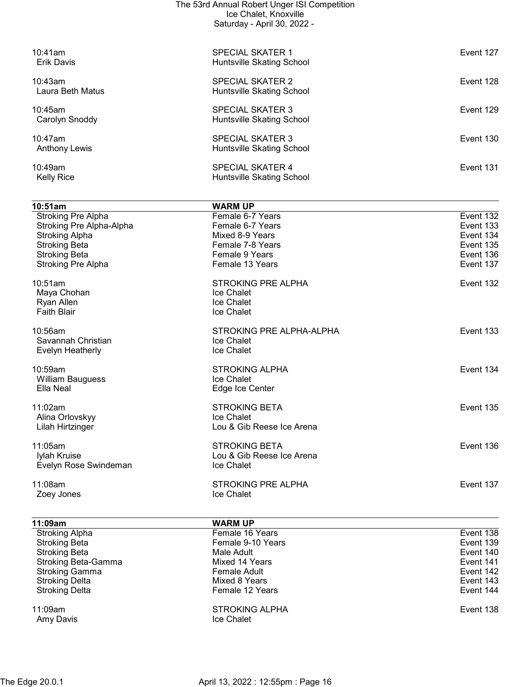| The 53rd Annual Robert Unger ISI Competition<br>Ice Chalet, Knoxville<br>Saturday - April 30, 2022 - |                                                      |           |
|------------------------------------------------------------------------------------------------------|------------------------------------------------------|-----------|
| 10:41am<br><b>Erik Davis</b>                                                                         | <b>SPECIAL SKATER 1</b><br>Huntsville Skating School | Event 127 |
| 10:43am<br>Laura Beth Matus                                                                          | SPECIAL SKATER 2<br>Huntsville Skating School        | Event 128 |
| $10:45$ am<br>Carolyn Snoddy                                                                         | <b>SPECIAL SKATER 3</b><br>Huntsville Skating School | Event 129 |
| $10:47$ am<br><b>Anthony Lewis</b>                                                                   | <b>SPECIAL SKATER 3</b><br>Huntsville Skating School | Event 130 |
| $10:49$ am<br><b>Kelly Rice</b>                                                                      | <b>SPECIAL SKATER 4</b><br>Huntsville Skating School | Event 131 |

| 10:51am                   | <b>WARM UP</b>            |           |
|---------------------------|---------------------------|-----------|
| <b>Stroking Pre Alpha</b> | Female 6-7 Years          | Event 132 |
| Stroking Pre Alpha-Alpha  | Female 6-7 Years          | Event 133 |
| <b>Stroking Alpha</b>     | Mixed 8-9 Years           | Event 134 |
| <b>Stroking Beta</b>      | Female 7-8 Years          | Event 135 |
| <b>Stroking Beta</b>      | Female 9 Years            | Event 136 |
| <b>Stroking Pre Alpha</b> | Female 13 Years           | Event 137 |
| 10:51am                   | <b>STROKING PRE ALPHA</b> | Event 132 |
| Maya Chohan               | Ice Chalet                |           |
| Ryan Allen                | Ice Chalet                |           |
| <b>Faith Blair</b>        | Ice Chalet                |           |
| 10:56am                   | STROKING PRE ALPHA-ALPHA  | Event 133 |
| Savannah Christian        | Ice Chalet                |           |
| Evelyn Heatherly          | Ice Chalet                |           |
| 10:59am                   | <b>STROKING ALPHA</b>     | Event 134 |
| William Bauguess          | Ice Chalet                |           |
| Ella Neal                 | Edge Ice Center           |           |
| 11:02am                   | <b>STROKING BETA</b>      | Event 135 |
| Alina Orlovskyy           | <b>Ice Chalet</b>         |           |
| Lilah Hirtzinger          | Lou & Gib Reese Ice Arena |           |
| 11:05am                   | <b>STROKING BETA</b>      | Event 136 |
| Iylah Kruise              | Lou & Gib Reese Ice Arena |           |
| Evelyn Rose Swindeman     | <b>Ice Chalet</b>         |           |
| 11:08am                   | <b>STROKING PRE ALPHA</b> | Event 137 |
| Zoey Jones                | Ice Chalet                |           |
|                           |                           |           |

| 11:09am                    | <b>WARM UP</b>                             |           |
|----------------------------|--------------------------------------------|-----------|
| <b>Stroking Alpha</b>      | Female 16 Years                            | Event 138 |
| <b>Stroking Beta</b>       | Female 9-10 Years                          | Event 139 |
| <b>Stroking Beta</b>       | Male Adult                                 | Event 140 |
| <b>Stroking Beta-Gamma</b> | Mixed 14 Years                             | Event 141 |
| <b>Stroking Gamma</b>      | Female Adult                               | Event 142 |
| <b>Stroking Delta</b>      | Mixed 8 Years                              | Event 143 |
| <b>Stroking Delta</b>      | Female 12 Years                            | Event 144 |
| 11:09am<br>Amy Davis       | <b>STROKING ALPHA</b><br><b>Ice Chalet</b> | Event 138 |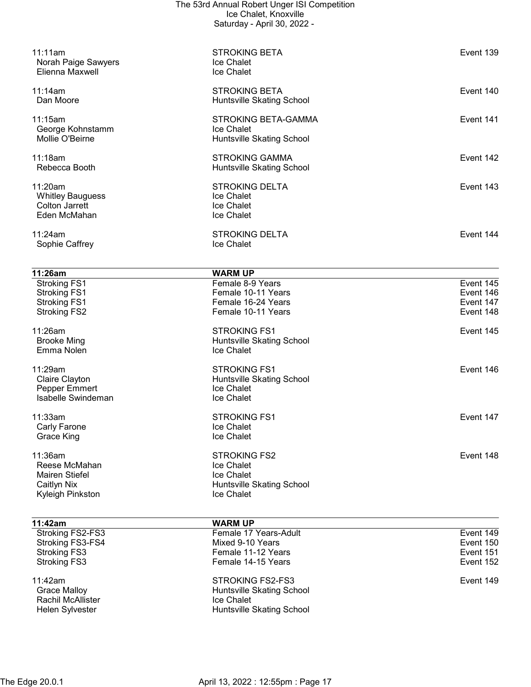| 11:11am                                    | <b>STROKING BETA</b>                   | Event 139              |
|--------------------------------------------|----------------------------------------|------------------------|
| Norah Paige Sawyers<br>Elienna Maxwell     | Ice Chalet<br>Ice Chalet               |                        |
|                                            |                                        |                        |
| 11:14am                                    | <b>STROKING BETA</b>                   | Event 140              |
| Dan Moore                                  | Huntsville Skating School              |                        |
| 11:15am                                    | <b>STROKING BETA-GAMMA</b>             | Event 141              |
| George Kohnstamm                           | Ice Chalet                             |                        |
| Mollie O'Beirne                            | Huntsville Skating School              |                        |
| 11:18am                                    | <b>STROKING GAMMA</b>                  | Event 142              |
| Rebecca Booth                              | Huntsville Skating School              |                        |
| 11:20am                                    | <b>STROKING DELTA</b>                  | Event 143              |
| <b>Whitley Bauguess</b>                    | Ice Chalet                             |                        |
| <b>Colton Jarrett</b>                      | Ice Chalet                             |                        |
| Eden McMahan                               | Ice Chalet                             |                        |
| 11:24am                                    | <b>STROKING DELTA</b>                  | Event 144              |
| Sophie Caffrey                             | Ice Chalet                             |                        |
|                                            |                                        |                        |
| 11:26am                                    | <b>WARM UP</b>                         |                        |
| <b>Stroking FS1</b><br><b>Stroking FS1</b> | Female 8-9 Years<br>Female 10-11 Years | Event 145<br>Event 146 |
| <b>Stroking FS1</b>                        | Female 16-24 Years                     | Event 147              |
| <b>Stroking FS2</b>                        | Female 10-11 Years                     | Event 148              |
| 11:26am                                    | <b>STROKING FS1</b>                    | Event 145              |
| <b>Brooke Ming</b>                         | Huntsville Skating School              |                        |
| Emma Nolen                                 | Ice Chalet                             |                        |
| 11:29am                                    | <b>STROKING FS1</b>                    | Event 146              |
| Claire Clayton                             | Huntsville Skating School              |                        |
| Pepper Emmert                              | Ice Chalet                             |                        |
| Isabelle Swindeman                         | Ice Chalet                             |                        |
| 11:33am                                    | <b>STROKING FS1</b>                    | Event 147              |
| Carly Farone                               | Ice Chalet                             |                        |
| Grace King                                 | Ice Chalet                             |                        |
| 11:36am                                    | <b>STROKING FS2</b>                    | Event 148              |
| Reese McMahan                              | Ice Chalet                             |                        |
| <b>Mairen Stiefel</b>                      | Ice Chalet                             |                        |
| Caitlyn Nix                                | Huntsville Skating School              |                        |
| Kyleigh Pinkston                           | <b>Ice Chalet</b>                      |                        |
| 11:42am                                    | <b>WARM UP</b>                         |                        |
| Stroking FS2-FS3                           | Female 17 Years-Adult                  | Event 149              |
| Stroking FS3-FS4                           | Mixed 9-10 Years                       | Event 150              |
| <b>Stroking FS3</b>                        | Female 11-12 Years                     | Event 151              |
| <b>Stroking FS3</b>                        | Female 14-15 Years                     | Event 152              |
| 11:42am                                    | <b>STROKING FS2-FS3</b>                | Event 149              |
| <b>Grace Malloy</b>                        | Huntsville Skating School              |                        |
| Rachil McAllister                          | Ice Chalet                             |                        |
| Helen Sylvester                            | Huntsville Skating School              |                        |
|                                            |                                        |                        |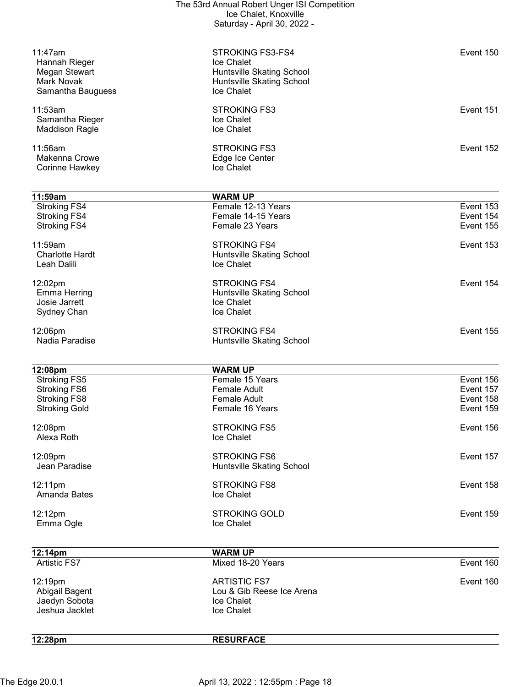| 12:28pm                                  | <b>RESURFACE</b>                                 |           |
|------------------------------------------|--------------------------------------------------|-----------|
|                                          |                                                  |           |
| Jaedyn Sobota<br>Jeshua Jacklet          | Ice Chalet<br>Ice Chalet                         |           |
| Abigail Bagent                           | Lou & Gib Reese Ice Arena                        |           |
| 12:19pm                                  | <b>ARTISTIC FS7</b>                              | Event 160 |
| <b>Artistic FS7</b>                      | Mixed 18-20 Years                                | Event 160 |
| 12:14pm                                  | <b>WARM UP</b>                                   |           |
|                                          |                                                  |           |
| Emma Ogle                                | Ice Chalet                                       |           |
| 12:12pm                                  | <b>STROKING GOLD</b>                             | Event 159 |
| Amanda Bates                             | Ice Chalet                                       |           |
| 12:11pm                                  | <b>STROKING FS8</b>                              | Event 158 |
| Jean Paradise                            | Huntsville Skating School                        |           |
| 12:09pm                                  | <b>STROKING FS6</b>                              | Event 157 |
| Alexa Roth                               | Ice Chalet                                       |           |
| 12:08pm                                  | <b>STROKING FS5</b>                              | Event 156 |
| <b>Stroking Gold</b>                     | Female 16 Years                                  | Event 159 |
| <b>Stroking FS8</b>                      | <b>Female Adult</b>                              | Event 158 |
| <b>Stroking FS6</b>                      | <b>Female Adult</b>                              | Event 157 |
| 12:08pm<br><b>Stroking FS5</b>           | <b>WARM UP</b><br>Female 15 Years                | Event 156 |
|                                          |                                                  |           |
|                                          |                                                  |           |
| 12:06pm<br>Nadia Paradise                | <b>STROKING FS4</b><br>Huntsville Skating School | Event 155 |
|                                          |                                                  |           |
| Josie Jarrett<br>Sydney Chan             | Ice Chalet<br>Ice Chalet                         |           |
| <b>Emma Herring</b>                      | Huntsville Skating School                        |           |
| 12:02pm                                  | <b>STROKING FS4</b>                              | Event 154 |
| Leah Dalili                              | Ice Chalet                                       |           |
| <b>Charlotte Hardt</b>                   | Huntsville Skating School                        |           |
| 11:59am                                  | <b>STROKING FS4</b>                              | Event 153 |
| <b>Stroking FS4</b>                      | Female 23 Years                                  | Event 155 |
| <b>Stroking FS4</b>                      | Female 14-15 Years                               | Event 154 |
| Stroking FS4                             | Female 12-13 Years                               | Event 153 |
| 11:59am                                  | <b>WARM UP</b>                                   |           |
|                                          |                                                  |           |
| Corinne Hawkey                           | Ice Chalet                                       |           |
| 11:56am<br>Makenna Crowe                 | <b>STROKING FS3</b><br>Edge Ice Center           | Event 152 |
|                                          |                                                  |           |
| Samantha Rieger<br><b>Maddison Ragle</b> | Ice Chalet<br>Ice Chalet                         |           |
| 11:53am                                  | <b>STROKING FS3</b>                              | Event 151 |
| Samantha Bauguess                        | Ice Chalet                                       |           |
| Mark Novak                               | Huntsville Skating School                        |           |
| Megan Stewart                            | Huntsville Skating School                        |           |
| 11:47am<br>Hannah Rieger                 | STROKING FS3-FS4<br>Ice Chalet                   | Event 150 |
|                                          |                                                  |           |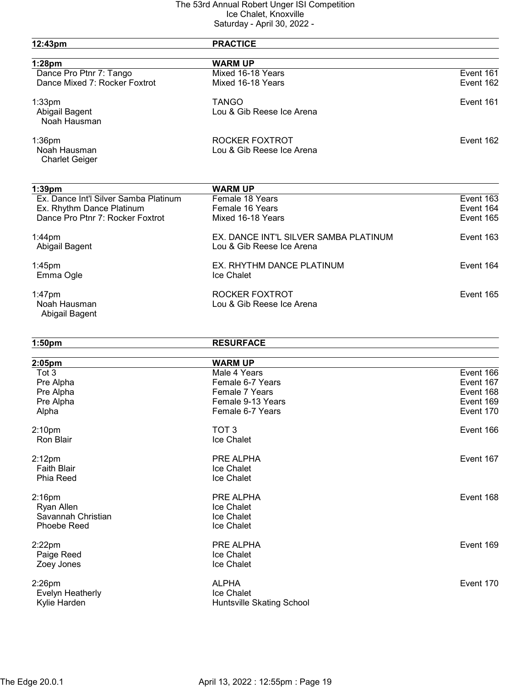| 12:43pm                               | <b>PRACTICE</b>                       |           |
|---------------------------------------|---------------------------------------|-----------|
| $1:28$ pm                             | <b>WARM UP</b>                        |           |
| Dance Pro Ptnr 7: Tango               | Mixed 16-18 Years                     | Event 161 |
| Dance Mixed 7: Rocker Foxtrot         | Mixed 16-18 Years                     | Event 162 |
| $1:33$ pm                             | <b>TANGO</b>                          | Event 161 |
| Abigail Bagent                        | Lou & Gib Reese Ice Arena             |           |
| Noah Hausman                          |                                       |           |
| $1:36$ pm                             | ROCKER FOXTROT                        | Event 162 |
| Noah Hausman                          | Lou & Gib Reese Ice Arena             |           |
| <b>Charlet Geiger</b>                 |                                       |           |
| $1:39$ pm                             | <b>WARM UP</b>                        |           |
| Ex. Dance Int'l Silver Samba Platinum | Female 18 Years                       | Event 163 |
| Ex. Rhythm Dance Platinum             | Female 16 Years                       | Event 164 |
| Dance Pro Ptnr 7: Rocker Foxtrot      | Mixed 16-18 Years                     | Event 165 |
|                                       | EX. DANCE INT'L SILVER SAMBA PLATINUM |           |
| $1:44$ pm<br>Abigail Bagent           | Lou & Gib Reese Ice Arena             | Event 163 |
| 1:45pm                                | EX. RHYTHM DANCE PLATINUM             | Event 164 |
| Emma Ogle                             | Ice Chalet                            |           |
| $1:47$ pm                             | ROCKER FOXTROT                        | Event 165 |
| Noah Hausman                          | Lou & Gib Reese Ice Arena             |           |
| Abigail Bagent                        |                                       |           |
| 1:50 <sub>pm</sub>                    | <b>RESURFACE</b>                      |           |
| 2:05pm                                | <b>WARM UP</b>                        |           |
| Tot 3                                 | Male 4 Years                          | Event 166 |
| Pre Alpha                             | Female 6-7 Years                      | Event 167 |
| Pre Alpha                             | Female 7 Years                        | Event 168 |
| Pre Alpha                             | Female 9-13 Years                     | Event 169 |
| Alpha                                 | Female 6-7 Years                      | Event 170 |
| 2:10 <sub>pm</sub>                    | TOT <sub>3</sub>                      | Event 166 |
| <b>Ron Blair</b>                      | Ice Chalet                            |           |
| $2:12$ pm                             | PRE ALPHA                             | Event 167 |
| <b>Faith Blair</b>                    | Ice Chalet                            |           |
| Phia Reed                             | Ice Chalet                            |           |
| $2:16$ pm                             | PRE ALPHA                             | Event 168 |
| Ryan Allen                            | Ice Chalet                            |           |
| Savannah Christian                    | Ice Chalet                            |           |
| Phoebe Reed                           | Ice Chalet                            |           |
| $2:22$ pm                             | PRE ALPHA                             | Event 169 |
| Paige Reed                            | Ice Chalet                            |           |
| Zoey Jones                            | Ice Chalet                            |           |
| 2:26pm                                | <b>ALPHA</b>                          | Event 170 |
| Evelyn Heatherly                      | Ice Chalet                            |           |
| Kylie Harden                          | Huntsville Skating School             |           |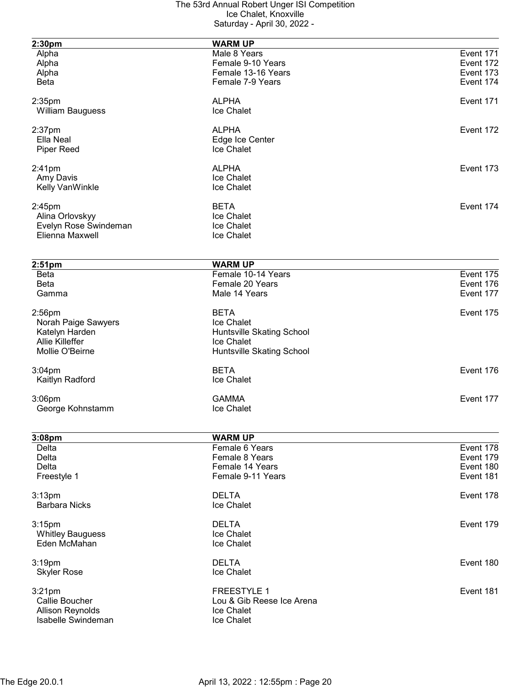| 2:30pm                                   | <b>WARM UP</b>                   |           |
|------------------------------------------|----------------------------------|-----------|
| Alpha                                    | Male 8 Years                     | Event 171 |
| Alpha                                    | Female 9-10 Years                | Event 172 |
|                                          | Female 13-16 Years               | Event 173 |
| Alpha                                    | Female 7-9 Years                 | Event 174 |
| <b>Beta</b>                              |                                  |           |
| $2:35$ pm                                | <b>ALPHA</b>                     | Event 171 |
| <b>William Bauguess</b>                  | Ice Chalet                       |           |
|                                          | <b>ALPHA</b>                     |           |
| $2:37$ pm                                |                                  | Event 172 |
| Ella Neal                                | Edge Ice Center                  |           |
| <b>Piper Reed</b>                        | Ice Chalet                       |           |
| $2:41$ pm                                | <b>ALPHA</b>                     | Event 173 |
| Amy Davis                                | Ice Chalet                       |           |
| Kelly VanWinkle                          | Ice Chalet                       |           |
|                                          |                                  |           |
| $2:45$ pm                                | <b>BETA</b>                      | Event 174 |
| Alina Orlovskyy                          | Ice Chalet                       |           |
| Evelyn Rose Swindeman                    | Ice Chalet                       |           |
| Elienna Maxwell                          | Ice Chalet                       |           |
|                                          |                                  |           |
| $2:51$ pm                                | <b>WARM UP</b>                   |           |
| <b>Beta</b>                              | Female 10-14 Years               | Event 175 |
| Beta                                     | Female 20 Years                  | Event 176 |
| Gamma                                    | Male 14 Years                    | Event 177 |
| $2:56$ pm                                | <b>BETA</b>                      | Event 175 |
| Norah Paige Sawyers                      | Ice Chalet                       |           |
|                                          |                                  |           |
| Katelyn Harden<br><b>Allie Killeffer</b> | Huntsville Skating School        |           |
|                                          | Ice Chalet                       |           |
| Mollie O'Beirne                          | Huntsville Skating School        |           |
| $3:04$ pm                                | <b>BETA</b>                      | Event 176 |
| Kaitlyn Radford                          | Ice Chalet                       |           |
| 3:06pm                                   | <b>GAMMA</b>                     | Event 177 |
| George Kohnstamm                         | Ice Chalet                       |           |
|                                          |                                  |           |
|                                          |                                  |           |
| 3:08pm                                   | <b>WARM UP</b><br>Female 6 Years | Event 178 |
| Delta                                    |                                  |           |
| Delta                                    | Female 8 Years                   | Event 179 |
| Delta                                    | Female 14 Years                  | Event 180 |
| Freestyle 1                              | Female 9-11 Years                | Event 181 |
| 3:13 <sub>pm</sub>                       | <b>DELTA</b>                     | Event 178 |
| <b>Barbara Nicks</b>                     | Ice Chalet                       |           |
|                                          |                                  |           |
| 3:15pm                                   | <b>DELTA</b>                     | Event 179 |
| <b>Whitley Bauguess</b>                  | Ice Chalet                       |           |
| Eden McMahan                             | Ice Chalet                       |           |
| 3:19pm                                   | <b>DELTA</b>                     | Event 180 |
| <b>Skyler Rose</b>                       | Ice Chalet                       |           |
|                                          |                                  |           |
| $3:21$ pm                                | <b>FREESTYLE 1</b>               | Event 181 |
| Callie Boucher                           | Lou & Gib Reese Ice Arena        |           |
| <b>Allison Reynolds</b>                  | Ice Chalet                       |           |
| Isabelle Swindeman                       | Ice Chalet                       |           |
|                                          |                                  |           |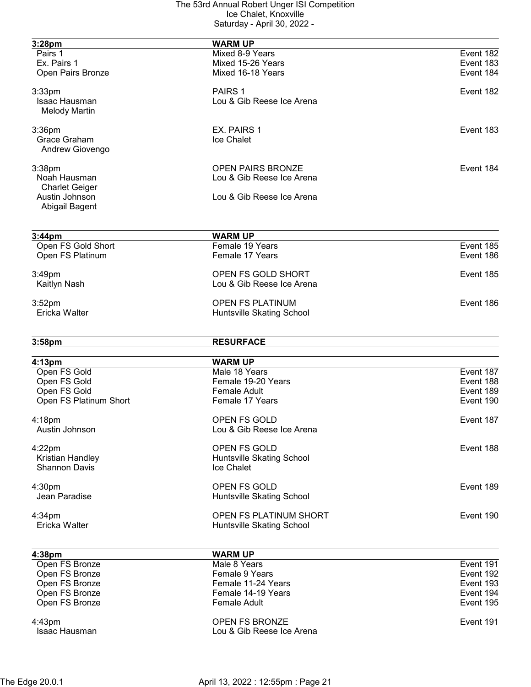| 3:28pm                           | <b>WARM UP</b>                           |                        |
|----------------------------------|------------------------------------------|------------------------|
| Pairs 1                          | Mixed 8-9 Years                          | Event 182              |
| Ex. Pairs 1                      | Mixed 15-26 Years                        | Event 183              |
| Open Pairs Bronze                | Mixed 16-18 Years                        | Event 184              |
|                                  |                                          |                        |
| $3:33$ pm                        | PAIRS 1                                  | Event 182              |
| Isaac Hausman                    | Lou & Gib Reese Ice Arena                |                        |
| <b>Melody Martin</b>             |                                          |                        |
| $3:36$ pm                        | EX. PAIRS 1                              | Event 183              |
| Grace Graham                     | <b>Ice Chalet</b>                        |                        |
| Andrew Giovengo                  |                                          |                        |
| 3:38pm                           | <b>OPEN PAIRS BRONZE</b>                 | Event 184              |
| Noah Hausman                     | Lou & Gib Reese Ice Arena                |                        |
| <b>Charlet Geiger</b>            |                                          |                        |
| Austin Johnson                   | Lou & Gib Reese Ice Arena                |                        |
| Abigail Bagent                   |                                          |                        |
|                                  |                                          |                        |
| 3:44 <sub>pm</sub>               | <b>WARM UP</b><br>Female 19 Years        | Event 185              |
| Open FS Gold Short               |                                          |                        |
| Open FS Platinum                 | Female 17 Years                          | Event 186              |
| 3:49pm                           | OPEN FS GOLD SHORT                       | Event 185              |
| Kaitlyn Nash                     | Lou & Gib Reese Ice Arena                |                        |
|                                  |                                          |                        |
| 3:52 <sub>pm</sub>               | <b>OPEN FS PLATINUM</b>                  | Event 186              |
| Ericka Walter                    | Huntsville Skating School                |                        |
|                                  |                                          |                        |
| 3:58pm                           | <b>RESURFACE</b>                         |                        |
| 4:13 <sub>pm</sub>               | <b>WARM UP</b>                           |                        |
| Open FS Gold                     | Male 18 Years                            | Event 187              |
| Open FS Gold                     | Female 19-20 Years                       | Event 188              |
| Open FS Gold                     | <b>Female Adult</b>                      | Event 189              |
| Open FS Platinum Short           | Female 17 Years                          | Event 190              |
|                                  |                                          |                        |
| 4:18pm                           | <b>OPEN FS GOLD</b>                      | Event 187              |
| Austin Johnson                   | Lou & Gib Reese Ice Arena                |                        |
| 4:22pm                           | OPEN FS GOLD                             | Event 188              |
| Kristian Handley                 | Huntsville Skating School                |                        |
| <b>Shannon Davis</b>             | Ice Chalet                               |                        |
|                                  |                                          |                        |
| 4:30 <sub>pm</sub>               | OPEN FS GOLD                             | Event 189              |
| Jean Paradise                    | Huntsville Skating School                |                        |
| $4:34$ pm                        | OPEN FS PLATINUM SHORT                   | Event 190              |
| Ericka Walter                    | Huntsville Skating School                |                        |
|                                  |                                          |                        |
| 4:38pm<br>Open FS Bronze         | <b>WARM UP</b><br>Male 8 Years           | Event 191              |
| Open FS Bronze                   | Female 9 Years                           | Event 192              |
|                                  |                                          |                        |
| Open FS Bronze<br>Open FS Bronze | Female 11-24 Years<br>Female 14-19 Years | Event 193<br>Event 194 |
| Open FS Bronze                   | <b>Female Adult</b>                      | Event 195              |
|                                  |                                          |                        |
| 4:43pm                           | OPEN FS BRONZE                           | Event 191              |
| Isaac Hausman                    | Lou & Gib Reese Ice Arena                |                        |
|                                  |                                          |                        |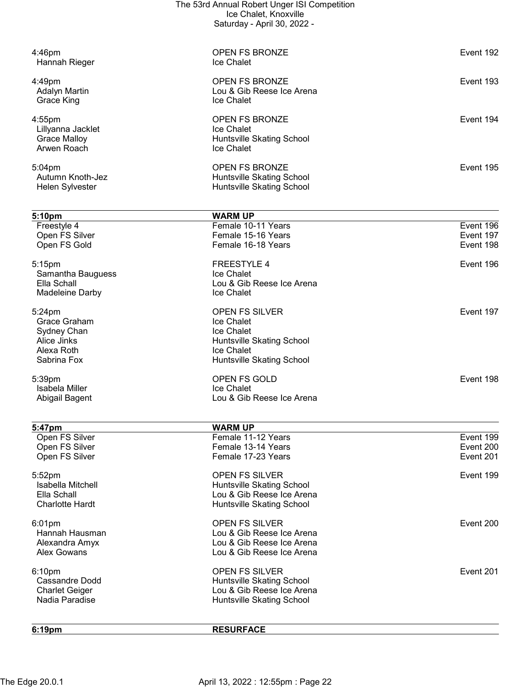|                                         | The 53rd Annual Robert Unger ISI Competition<br>Ice Chalet, Knoxville |                        |
|-----------------------------------------|-----------------------------------------------------------------------|------------------------|
|                                         | Saturday - April 30, 2022 -                                           |                        |
| 4:46pm                                  | <b>OPEN FS BRONZE</b>                                                 | Event 192              |
| Hannah Rieger                           | Ice Chalet                                                            |                        |
| 4:49pm                                  | <b>OPEN FS BRONZE</b>                                                 | Event 193              |
| <b>Adalyn Martin</b><br>Grace King      | Lou & Gib Reese Ice Arena<br>Ice Chalet                               |                        |
| 4:55pm                                  | <b>OPEN FS BRONZE</b>                                                 | Event 194              |
| Lillyanna Jacklet                       | Ice Chalet                                                            |                        |
| <b>Grace Malloy</b><br>Arwen Roach      | Huntsville Skating School<br>Ice Chalet                               |                        |
| 5:04pm                                  | <b>OPEN FS BRONZE</b>                                                 | Event 195              |
| Autumn Knoth-Jez<br>Helen Sylvester     | Huntsville Skating School<br>Huntsville Skating School                |                        |
| 5:10pm                                  | <b>WARM UP</b>                                                        |                        |
| Freestyle 4                             | Female 10-11 Years                                                    | Event 196              |
| Open FS Silver<br>Open FS Gold          | Female 15-16 Years<br>Female 16-18 Years                              | Event 197<br>Event 198 |
| 5:15pm                                  | <b>FREESTYLE 4</b>                                                    | Event 196              |
| Samantha Bauguess                       | Ice Chalet                                                            |                        |
| Ella Schall<br>Madeleine Darby          | Lou & Gib Reese Ice Arena<br>Ice Chalet                               |                        |
| 5:24pm                                  | OPEN FS SILVER                                                        | Event 197              |
| Grace Graham                            | Ice Chalet                                                            |                        |
| Sydney Chan<br>Alice Jinks              | Ice Chalet                                                            |                        |
| Alexa Roth                              | Huntsville Skating School<br><b>Ice Chalet</b>                        |                        |
| Sabrina Fox                             | Huntsville Skating School                                             |                        |
| 5:39pm                                  | <b>OPEN FS GOLD</b>                                                   | Event 198              |
| Isabela Miller<br>Abigail Bagent        | <b>Ice Chalet</b><br>Lou & Gib Reese Ice Arena                        |                        |
|                                         | <b>WARM UP</b>                                                        |                        |
| 5:47pm<br>Open FS Silver                | Female 11-12 Years                                                    | Event 199              |
| Open FS Silver                          | Female 13-14 Years                                                    | Event 200              |
| Open FS Silver                          | Female 17-23 Years                                                    | Event 201              |
| 5:52pm                                  | OPEN FS SILVER                                                        | Event 199              |
| Isabella Mitchell<br>Ella Schall        | Huntsville Skating School<br>Lou & Gib Reese Ice Arena                |                        |
| <b>Charlotte Hardt</b>                  | Huntsville Skating School                                             |                        |
| $6:01$ pm                               | <b>OPEN FS SILVER</b>                                                 | Event 200              |
| Hannah Hausman<br>Alexandra Amyx        | Lou & Gib Reese Ice Arena<br>Lou & Gib Reese Ice Arena                |                        |
| Alex Gowans                             | Lou & Gib Reese Ice Arena                                             |                        |
| 6:10pm                                  | <b>OPEN FS SILVER</b>                                                 | Event 201              |
| Cassandre Dodd                          | <b>Huntsville Skating School</b><br>Lou & Gib Reese Ice Arena         |                        |
| <b>Charlet Geiger</b><br>Nadia Paradise | Huntsville Skating School                                             |                        |
| 6:19pm                                  | <b>RESURFACE</b>                                                      |                        |
|                                         |                                                                       |                        |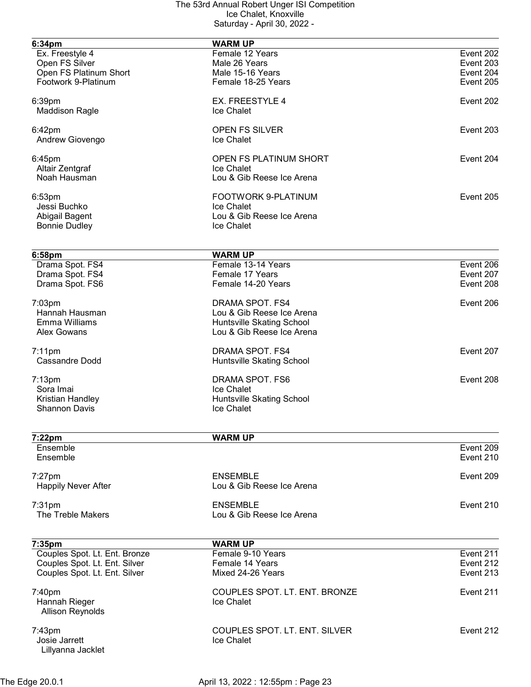| 6:34pm                        | <b>WARM UP</b>                |                        |
|-------------------------------|-------------------------------|------------------------|
| Ex. Freestyle 4               | Female 12 Years               | Event 202              |
| Open FS Silver                | Male 26 Years                 | Event 203              |
| Open FS Platinum Short        | Male 15-16 Years              | Event 204              |
| Footwork 9-Platinum           | Female 18-25 Years            | Event 205              |
| 6:39pm                        | <b>EX. FREESTYLE 4</b>        | Event 202              |
| <b>Maddison Ragle</b>         | Ice Chalet                    |                        |
| $6:42$ pm                     | OPEN FS SILVER                | Event 203              |
| Andrew Giovengo               | <b>Ice Chalet</b>             |                        |
| 6:45pm                        | OPEN FS PLATINUM SHORT        | Event 204              |
| Altair Zentgraf               | Ice Chalet                    |                        |
| Noah Hausman                  | Lou & Gib Reese Ice Arena     |                        |
| 6:53 <sub>pm</sub>            | FOOTWORK 9-PLATINUM           | Event 205              |
| Jessi Buchko                  | <b>Ice Chalet</b>             |                        |
| Abigail Bagent                | Lou & Gib Reese Ice Arena     |                        |
| <b>Bonnie Dudley</b>          | Ice Chalet                    |                        |
|                               |                               |                        |
| 6:58pm                        | <b>WARM UP</b>                |                        |
| Drama Spot. FS4               | Female 13-14 Years            | Event 206              |
| Drama Spot. FS4               | Female 17 Years               | Event 207              |
| Drama Spot. FS6               | Female 14-20 Years            | Event 208              |
| 7:03pm                        | DRAMA SPOT. FS4               | Event 206              |
| Hannah Hausman                | Lou & Gib Reese Ice Arena     |                        |
| Emma Williams                 | Huntsville Skating School     |                        |
| Alex Gowans                   | Lou & Gib Reese Ice Arena     |                        |
| $7:11$ pm                     | DRAMA SPOT. FS4               | Event 207              |
| <b>Cassandre Dodd</b>         | Huntsville Skating School     |                        |
| $7:13$ pm                     | DRAMA SPOT. FS6               | Event 208              |
| Sora Imai                     | Ice Chalet                    |                        |
| Kristian Handley              | Huntsville Skating School     |                        |
| <b>Shannon Davis</b>          | Ice Chalet                    |                        |
|                               |                               |                        |
| $7:22$ pm<br>Ensemble         | <b>WARM UP</b>                | Event 209              |
| Ensemble                      |                               | Event 210              |
| $7:27$ pm                     | <b>ENSEMBLE</b>               | Event 209              |
| <b>Happily Never After</b>    | Lou & Gib Reese Ice Arena     |                        |
| $7:31$ pm                     | <b>ENSEMBLE</b>               | Event 210              |
| The Treble Makers             | Lou & Gib Reese Ice Arena     |                        |
|                               |                               |                        |
| 7:35pm                        | <b>WARM UP</b>                |                        |
| Couples Spot. Lt. Ent. Bronze | Female 9-10 Years             | Event $2\overline{11}$ |
| Couples Spot. Lt. Ent. Silver | Female 14 Years               | Event 212              |
| Couples Spot. Lt. Ent. Silver | Mixed 24-26 Years             | Event 213              |
| 7:40pm                        | COUPLES SPOT. LT. ENT. BRONZE | Event 211              |
| Hannah Rieger                 | Ice Chalet                    |                        |
| <b>Allison Reynolds</b>       |                               |                        |
| $7:43$ pm                     | COUPLES SPOT. LT. ENT. SILVER | Event 212              |
| Josie Jarrett                 | Ice Chalet                    |                        |
| Lillyanna Jacklet             |                               |                        |
|                               |                               |                        |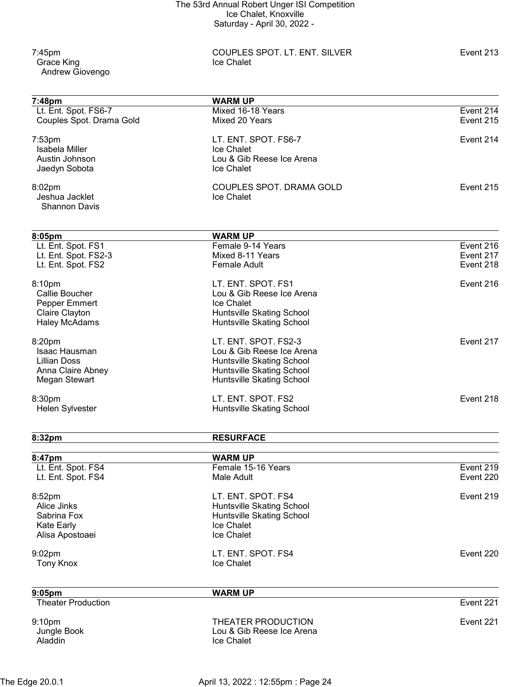7:45pm COUPLES SPOT. LT. ENT. SILVER Event 213 Andrew Giovengo

Grace King

| 7:48pm                                   | <b>WARM UP</b>                   |                        |
|------------------------------------------|----------------------------------|------------------------|
| Lt. Ent. Spot. FS6-7                     | Mixed 16-18 Years                | Event 214              |
| Couples Spot. Drama Gold                 | Mixed 20 Years                   | Event 215              |
|                                          |                                  |                        |
| $7:53$ pm                                | LT. ENT. SPOT. FS6-7             | Event 214              |
| Isabela Miller                           | Ice Chalet                       |                        |
| Austin Johnson                           | Lou & Gib Reese Ice Arena        |                        |
| Jaedyn Sobota                            | Ice Chalet                       |                        |
| 8:02pm                                   | COUPLES SPOT. DRAMA GOLD         | Event 215              |
| Jeshua Jacklet                           | Ice Chalet                       |                        |
| <b>Shannon Davis</b>                     |                                  |                        |
|                                          |                                  |                        |
| 8:05pm                                   | <b>WARM UP</b>                   |                        |
| Lt. Ent. Spot. FS1                       | Female 9-14 Years                | Event 216              |
| Lt. Ent. Spot. FS2-3                     | Mixed 8-11 Years                 | Event 217              |
| Lt. Ent. Spot. FS2                       | <b>Female Adult</b>              | Event 218              |
| 8:10pm                                   | LT. ENT. SPOT. FS1               | Event 216              |
| Callie Boucher                           | Lou & Gib Reese Ice Arena        |                        |
| Pepper Emmert                            | Ice Chalet                       |                        |
| Claire Clayton                           | Huntsville Skating School        |                        |
| <b>Haley McAdams</b>                     | Huntsville Skating School        |                        |
| 8:20pm                                   | LT. ENT. SPOT. FS2-3             | Event 217              |
| Isaac Hausman                            | Lou & Gib Reese Ice Arena        |                        |
| <b>Lillian Doss</b>                      | <b>Huntsville Skating School</b> |                        |
| Anna Claire Abney                        | Huntsville Skating School        |                        |
| Megan Stewart                            | Huntsville Skating School        |                        |
| 8:30pm                                   | LT. ENT. SPOT. FS2               | Event 218              |
| Helen Sylvester                          | Huntsville Skating School        |                        |
|                                          |                                  |                        |
| 8:32pm                                   | <b>RESURFACE</b>                 |                        |
|                                          |                                  |                        |
| 8:47pm                                   | <b>WARM UP</b>                   |                        |
| Lt. Ent. Spot. FS4<br>Lt. Ent. Spot. FS4 | Female 15-16 Years<br>Male Adult | Event 219<br>Event 220 |
|                                          |                                  |                        |
| 8:52pm                                   | LT. ENT. SPOT. FS4               | Event 219              |
| Alice Jinks                              | Huntsville Skating School        |                        |
| Sabrina Fox                              | Huntsville Skating School        |                        |
| <b>Kate Early</b>                        | Ice Chalet                       |                        |
| Alisa Apostoaei                          | Ice Chalet                       |                        |
| 9:02pm                                   | LT. ENT. SPOT. FS4               | Event 220              |
| <b>Tony Knox</b>                         | Ice Chalet                       |                        |
|                                          |                                  |                        |
| $9:05$ pm                                | <b>WARM UP</b>                   |                        |
| <b>Theater Production</b>                |                                  | Event 221              |
| 9:10pm                                   | THEATER PRODUCTION               | Event 221              |
| Jungle Book                              | Lou & Gib Reese Ice Arena        |                        |
| Aladdin                                  | Ice Chalet                       |                        |
|                                          |                                  |                        |
|                                          |                                  |                        |

The Edge 20.0.1 **April 13, 2022 : 12:55pm : Page 24**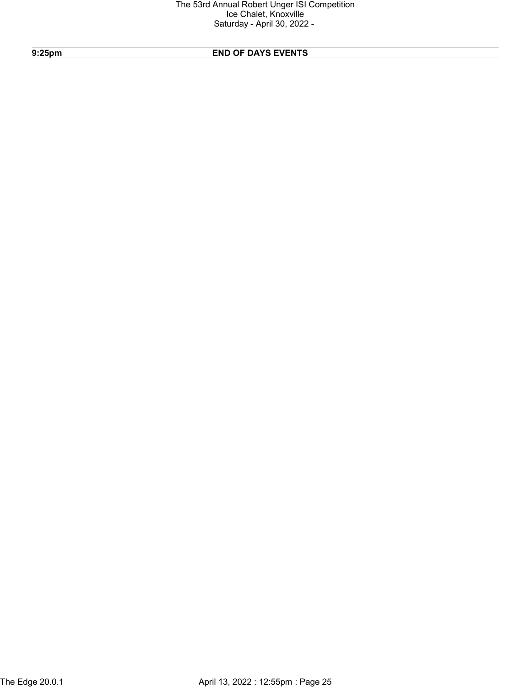# 9:25pm END OF DAYS EVENTS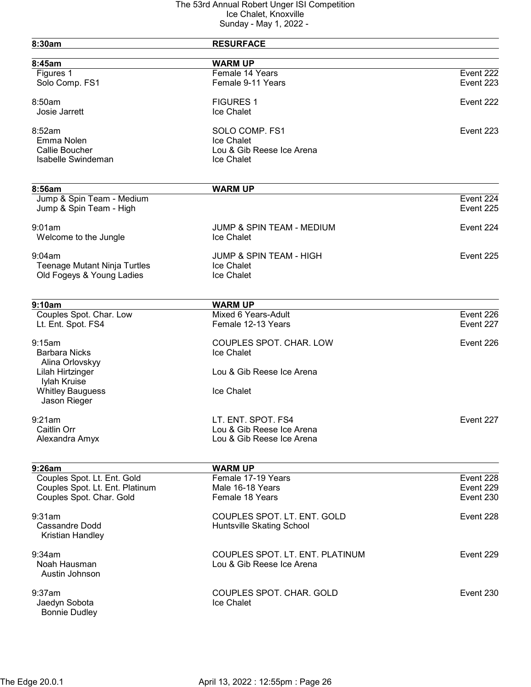| 8:30am                                               | <b>RESURFACE</b>                     |                        |
|------------------------------------------------------|--------------------------------------|------------------------|
| 8:45am                                               | <b>WARM UP</b>                       |                        |
| Figures 1                                            | Female 14 Years                      | Event 222              |
| Solo Comp. FS1                                       | Female 9-11 Years                    | Event 223              |
| 8:50am                                               | <b>FIGURES 1</b>                     | Event 222              |
| Josie Jarrett                                        | Ice Chalet                           |                        |
| 8:52am                                               | SOLO COMP. FS1                       | Event 223              |
| Emma Nolen                                           | Ice Chalet                           |                        |
| Callie Boucher                                       | Lou & Gib Reese Ice Arena            |                        |
| <b>Isabelle Swindeman</b>                            | Ice Chalet                           |                        |
|                                                      |                                      |                        |
| 8:56am                                               | <b>WARM UP</b>                       |                        |
| Jump & Spin Team - Medium<br>Jump & Spin Team - High |                                      | Event 224<br>Event 225 |
| 9:01am                                               | <b>JUMP &amp; SPIN TEAM - MEDIUM</b> | Event 224              |
| Welcome to the Jungle                                | Ice Chalet                           |                        |
| 9:04am                                               | <b>JUMP &amp; SPIN TEAM - HIGH</b>   | Event 225              |
| <b>Teenage Mutant Ninja Turtles</b>                  | Ice Chalet                           |                        |
| Old Fogeys & Young Ladies                            | Ice Chalet                           |                        |
| 9:10am                                               | <b>WARM UP</b>                       |                        |
| Couples Spot. Char. Low                              | Mixed 6 Years-Adult                  | Event 226              |
| Lt. Ent. Spot. FS4                                   | Female 12-13 Years                   | Event 227              |
| 9:15am                                               | COUPLES SPOT. CHAR. LOW              | Event 226              |
| <b>Barbara Nicks</b>                                 | Ice Chalet                           |                        |
| Alina Orlovskyy<br>Lilah Hirtzinger                  | Lou & Gib Reese Ice Arena            |                        |
| Iylah Kruise                                         |                                      |                        |
| <b>Whitley Bauguess</b>                              | Ice Chalet                           |                        |
| Jason Rieger                                         |                                      |                        |
| 9:21am                                               | LT. ENT. SPOT. FS4                   | Event 227              |
| Caitlin Orr                                          | Lou & Gib Reese Ice Arena            |                        |
| Alexandra Amyx                                       | Lou & Gib Reese Ice Arena            |                        |
| 9:26am                                               | <b>WARM UP</b>                       |                        |
| Couples Spot. Lt. Ent. Gold                          | Female 17-19 Years                   | Event 228              |
| Couples Spot. Lt. Ent. Platinum                      | Male 16-18 Years                     | Event 229              |
| Couples Spot. Char. Gold                             | Female 18 Years                      | Event 230              |
| 9:31am                                               | COUPLES SPOT. LT. ENT. GOLD          | Event 228              |
| Cassandre Dodd<br>Kristian Handley                   | Huntsville Skating School            |                        |
|                                                      |                                      |                        |
| 9:34am                                               | COUPLES SPOT. LT. ENT. PLATINUM      | Event 229              |
| Noah Hausman                                         | Lou & Gib Reese Ice Arena            |                        |
| Austin Johnson                                       |                                      |                        |
| 9:37am                                               | COUPLES SPOT. CHAR. GOLD             | Event 230              |
| Jaedyn Sobota                                        | Ice Chalet                           |                        |
| <b>Bonnie Dudley</b>                                 |                                      |                        |
|                                                      |                                      |                        |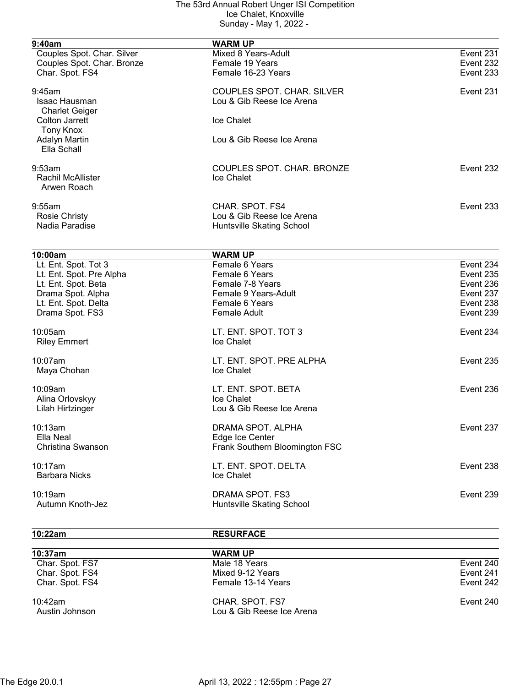| 9:40am                     | <b>WARM UP</b>                    |           |
|----------------------------|-----------------------------------|-----------|
| Couples Spot. Char. Silver | Mixed 8 Years-Adult               | Event 231 |
| Couples Spot. Char. Bronze | Female 19 Years                   | Event 232 |
| Char. Spot. FS4            | Female 16-23 Years                | Event 233 |
| 9:45am                     | <b>COUPLES SPOT. CHAR. SILVER</b> | Event 231 |
| Isaac Hausman              | Lou & Gib Reese Ice Arena         |           |
| <b>Charlet Geiger</b>      |                                   |           |
| <b>Colton Jarrett</b>      | Ice Chalet                        |           |
| <b>Tony Knox</b>           |                                   |           |
| <b>Adalyn Martin</b>       | Lou & Gib Reese Ice Arena         |           |
| Ella Schall                |                                   |           |
| 9:53am                     | COUPLES SPOT. CHAR. BRONZE        | Event 232 |
| <b>Rachil McAllister</b>   | Ice Chalet                        |           |
| Arwen Roach                |                                   |           |
| 9:55am                     | CHAR. SPOT. FS4                   | Event 233 |
| <b>Rosie Christy</b>       | Lou & Gib Reese Ice Arena         |           |
| Nadia Paradise             | Huntsville Skating School         |           |
|                            |                                   |           |
| 10:00am                    | <b>WARM UP</b>                    |           |
| Lt. Ent. Spot. Tot 3       | Female 6 Years                    | Event 234 |
| Lt. Ent. Spot. Pre Alpha   | Female 6 Years                    | Event 235 |
| Lt. Ent. Spot. Beta        | Female 7-8 Years                  | Event 236 |
| Drama Spot. Alpha          | Female 9 Years-Adult              | Event 237 |
| Lt. Ent. Spot. Delta       | Female 6 Years                    | Event 238 |
| Drama Spot. FS3            | <b>Female Adult</b>               | Event 239 |
| 10:05am                    | LT. ENT. SPOT. TOT 3              | Event 234 |
| <b>Riley Emmert</b>        | Ice Chalet                        |           |
| 10:07am                    | LT. ENT. SPOT. PRE ALPHA          | Event 235 |
| Maya Chohan                | Ice Chalet                        |           |
|                            |                                   |           |
| 10:09am                    | LT. ENT. SPOT. BETA               | Event 236 |
| Alina Orlovskyy            | Ice Chalet                        |           |
| Lilah Hirtzinger           | Lou & Gib Reese Ice Arena         |           |
| 10:13am                    | DRAMA SPOT. ALPHA                 | Event 237 |
| Ella Neal                  | Edge Ice Center                   |           |
| Christina Swanson          | Frank Southern Bloomington FSC    |           |
| 10:17am                    | LT. ENT. SPOT. DELTA              | Event 238 |
| <b>Barbara Nicks</b>       | Ice Chalet                        |           |
| 10:19am                    | DRAMA SPOT. FS3                   | Event 239 |
| Autumn Knoth-Jez           | Huntsville Skating School         |           |
|                            |                                   |           |

10:22am RESURFACE

| 10:37am                      | <b>WARM UP</b>                               |           |
|------------------------------|----------------------------------------------|-----------|
| Char. Spot. FS7              | Male 18 Years                                | Event 240 |
| Char. Spot. FS4              | Mixed 9-12 Years                             | Event 241 |
| Char. Spot. FS4              | Female 13-14 Years                           | Event 242 |
| $10:42$ am<br>Austin Johnson | CHAR, SPOT, FS7<br>Lou & Gib Reese Ice Arena | Event 240 |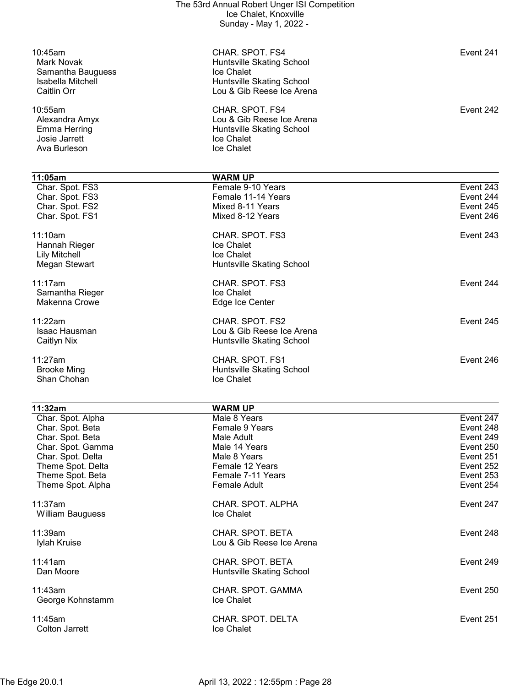|                                                                                | The 53rd Annual Robert Unger ISI Competition<br>Ice Chalet, Knoxville<br>Sunday - May 1, 2022 -                      |                                                  |
|--------------------------------------------------------------------------------|----------------------------------------------------------------------------------------------------------------------|--------------------------------------------------|
| 10:45am<br>Mark Novak<br>Samantha Bauguess<br>Isabella Mitchell<br>Caitlin Orr | CHAR. SPOT. FS4<br>Huntsville Skating School<br>Ice Chalet<br>Huntsville Skating School<br>Lou & Gib Reese Ice Arena | Event 241                                        |
| 10:55am<br>Alexandra Amyx<br>Emma Herring<br>Josie Jarrett<br>Ava Burleson     | CHAR. SPOT. FS4<br>Lou & Gib Reese Ice Arena<br>Huntsville Skating School<br>Ice Chalet<br>Ice Chalet                | Event 242                                        |
| 11:05am                                                                        | <b>WARM UP</b>                                                                                                       |                                                  |
| Char. Spot. FS3<br>Char. Spot. FS3<br>Char. Spot. FS2<br>Char. Spot. FS1       | Female 9-10 Years<br>Female 11-14 Years<br>Mixed 8-11 Years<br>Mixed 8-12 Years                                      | Event 243<br>Event 244<br>Event 245<br>Event 246 |
| 11:10am<br>Hannah Rieger<br><b>Lily Mitchell</b><br>Megan Stewart              | CHAR. SPOT. FS3<br>Ice Chalet<br>Ice Chalet<br>Huntsville Skating School                                             | Event 243                                        |
| 11:17am<br>Samantha Rieger<br>Makenna Crowe                                    | CHAR. SPOT. FS3<br>Ice Chalet<br>Edge Ice Center                                                                     | Event 244                                        |
| 11:22am<br>Isaac Hausman<br>Caitlyn Nix                                        | CHAR. SPOT. FS2<br>Lou & Gib Reese Ice Arena<br>Huntsville Skating School                                            | Event 245                                        |
| 11:27am<br><b>Brooke Ming</b><br>Shan Chohan                                   | CHAR. SPOT. FS1<br>Huntsville Skating School<br><b>Ice Chalet</b>                                                    | Event 246                                        |
|                                                                                |                                                                                                                      |                                                  |

| 11:32am           | <b>WARM UP</b>            |           |
|-------------------|---------------------------|-----------|
| Char. Spot. Alpha | Male 8 Years              | Event 247 |
| Char. Spot. Beta  | Female 9 Years            | Event 248 |
| Char. Spot. Beta  | Male Adult                | Event 249 |
| Char. Spot. Gamma | Male 14 Years             | Event 250 |
| Char. Spot. Delta | Male 8 Years              | Event 251 |
| Theme Spot. Delta | Female 12 Years           | Event 252 |
| Theme Spot. Beta  | Female 7-11 Years         | Event 253 |
| Theme Spot. Alpha | Female Adult              | Event 254 |
| 11:37am           | CHAR. SPOT. ALPHA         | Event 247 |
| William Bauguess  | <b>Ice Chalet</b>         |           |
| 11:39am           | CHAR. SPOT. BETA          | Event 248 |
| Iylah Kruise      | Lou & Gib Reese Ice Arena |           |
| 11:41am           | CHAR. SPOT. BETA          | Event 249 |
| Dan Moore         | Huntsville Skating School |           |
| 11:43am           | CHAR. SPOT. GAMMA         | Event 250 |
| George Kohnstamm  | Ice Chalet                |           |
| $11:45$ am        | CHAR. SPOT. DELTA         | Event 251 |
| Colton Jarrett    | <b>Ice Chalet</b>         |           |
|                   |                           |           |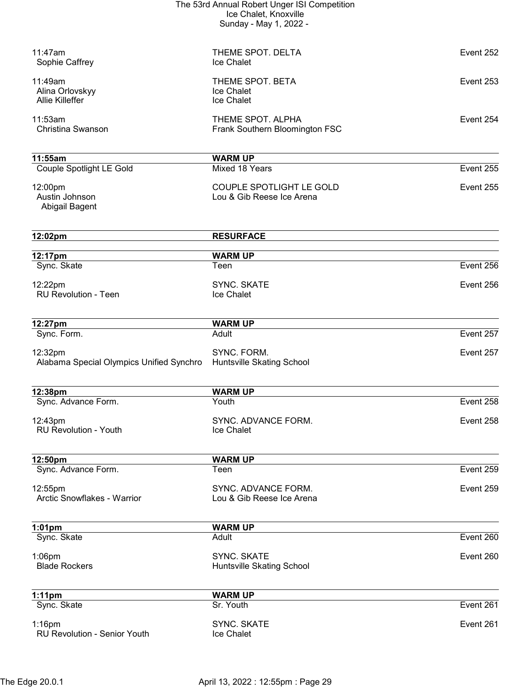| The 53rd Annual Robert Unger ISI Competition |
|----------------------------------------------|
| Ice Chalet, Knoxville                        |
| Sunday - May 1, 2022 -                       |

| 11:47am<br>Sophie Caffrey                            | THEME SPOT, DELTA<br>Ice Chalet                       | Event 252 |
|------------------------------------------------------|-------------------------------------------------------|-----------|
| 11:49am<br>Alina Orlovskyy<br><b>Allie Killeffer</b> | THEME SPOT. BETA<br>Ice Chalet<br>Ice Chalet          | Event 253 |
| 11:53am<br><b>Christina Swanson</b>                  | THEME SPOT. ALPHA<br>Frank Southern Bloomington FSC   | Event 254 |
| 11:55am                                              | <b>WARM UP</b>                                        |           |
| Couple Spotlight LE Gold                             | Mixed 18 Years                                        | Event 255 |
| 12:00pm<br>Austin Johnson<br>Abigail Bagent          | COUPLE SPOTLIGHT LE GOLD<br>Lou & Gib Reese Ice Arena | Event 255 |
| 12:02pm                                              | <b>RESURFACE</b>                                      |           |
| 12:17pm                                              | <b>WARM UP</b>                                        |           |
| Sync. Skate                                          | Teen                                                  | Event 256 |
| 12:22pm<br><b>RU Revolution - Teen</b>               | <b>SYNC. SKATE</b><br>Ice Chalet                      | Event 256 |
| 12:27pm                                              | <b>WARM UP</b>                                        |           |
| Sync. Form.                                          | Adult                                                 | Event 257 |
| 12:32pm<br>Alabama Special Olympics Unified Synchro  | SYNC. FORM.<br>Huntsville Skating School              | Event 257 |
| 12:38pm                                              | <b>WARM UP</b>                                        |           |
| Sync. Advance Form.                                  | Youth                                                 | Event 258 |
| 12:43pm<br><b>RU Revolution - Youth</b>              | SYNC. ADVANCE FORM.<br>Ice Chalet                     | Event 258 |
| 12:50pm                                              | <b>WARM UP</b>                                        |           |
| Sync. Advance Form.                                  | Teen                                                  | Event 259 |
| 12:55pm<br>Arctic Snowflakes - Warrior               | SYNC, ADVANCE FORM.<br>Lou & Gib Reese Ice Arena      | Event 259 |
| $1:01$ pm                                            | <b>WARM UP</b>                                        |           |
| Sync. Skate                                          | Adult                                                 | Event 260 |
| $1:06$ pm<br><b>Blade Rockers</b>                    | <b>SYNC. SKATE</b><br>Huntsville Skating School       | Event 260 |
| $1:11$ pm                                            | <b>WARM UP</b>                                        |           |
| Sync. Skate                                          | Sr. Youth                                             | Event 261 |
| $1:16$ pm<br><b>RU Revolution - Senior Youth</b>     | <b>SYNC. SKATE</b><br>Ice Chalet                      | Event 261 |